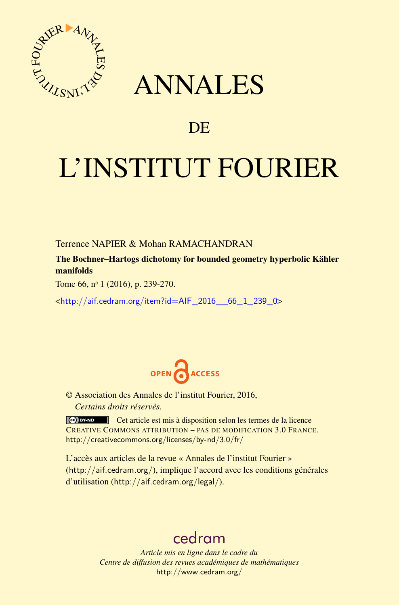

## ANNALES

## **DE**

# L'INSTITUT FOURIER

Terrence NAPIER & Mohan RAMACHANDRAN

The Bochner–Hartogs dichotomy for bounded geometry hyperbolic Kähler manifolds

Tome 66, nº 1 (2016), p. 239-270.

<[http://aif.cedram.org/item?id=AIF\\_2016\\_\\_66\\_1\\_239\\_0](http://aif.cedram.org/item?id=AIF_2016__66_1_239_0)>



© Association des Annales de l'institut Fourier, 2016, *Certains droits réservés.*

Cet article est mis à disposition selon les termes de la licence CREATIVE COMMONS ATTRIBUTION – PAS DE MODIFICATION 3.0 FRANCE. <http://creativecommons.org/licenses/by-nd/3.0/fr/>

L'accès aux articles de la revue « Annales de l'institut Fourier » (<http://aif.cedram.org/>), implique l'accord avec les conditions générales d'utilisation (<http://aif.cedram.org/legal/>).

## [cedram](http://www.cedram.org/)

*Article mis en ligne dans le cadre du Centre de diffusion des revues académiques de mathématiques* <http://www.cedram.org/>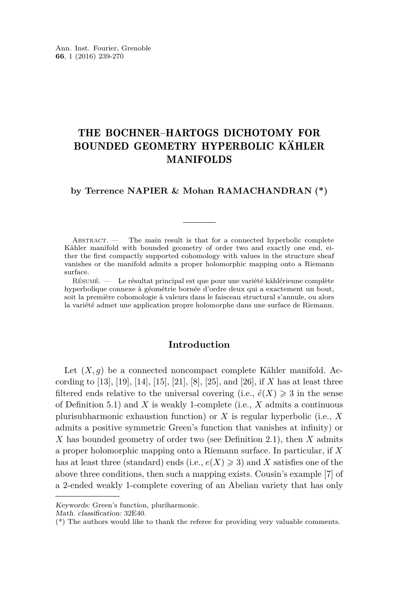### THE BOCHNER–HARTOGS DICHOTOMY FOR BOUNDED GEOMETRY HYPERBOLIC KÄHLER MANIFOLDS

#### **by Terrence NAPIER & Mohan RAMACHANDRAN (\*)**

ABSTRACT. — The main result is that for a connected hyperbolic complete Kähler manifold with bounded geometry of order two and exactly one end, either the first compactly supported cohomology with values in the structure sheaf vanishes or the manifold admits a proper holomorphic mapping onto a Riemann surface.

Résumé. — Le résultat principal est que pour une variété kählérienne complète hyperbolique connexe à géométrie bornée d'ordre deux qui a exactement un bout, soit la première cohomologie à valeurs dans le faisceau structural s'annule, ou alors la variété admet une application propre holomorphe dans une surface de Riemann.

#### **Introduction**

Let  $(X, g)$  be a connected noncompact complete Kähler manifold. According to [\[13\]](#page-31-0), [\[19\]](#page-31-1), [\[14\]](#page-31-2), [\[15\]](#page-31-3), [\[21\]](#page-31-4), [\[8\]](#page-31-5), [\[25\]](#page-31-6), and [\[26\]](#page-31-7), if *X* has at least three filtered ends relative to the universal covering (i.e.,  $\tilde{e}(X) \geq 3$  in the sense of Definition [5.1\)](#page-19-0) and *X* is weakly 1-complete (i.e., *X* admits a continuous plurisubharmonic exhaustion function) or *X* is regular hyperbolic (i.e., *X* admits a positive symmetric Green's function that vanishes at infinity) or *X* has bounded geometry of order two (see Definition [2.1\)](#page-9-0), then *X* admits a proper holomorphic mapping onto a Riemann surface. In particular, if *X* has at least three (standard) ends (i.e.,  $e(X) \ge 3$ ) and X satisfies one of the above three conditions, then such a mapping exists. Cousin's example [\[7\]](#page-30-0) of a 2-ended weakly 1-complete covering of an Abelian variety that has only

Keywords: Green's function, pluriharmonic.

Math. classification: 32E40.

<sup>(\*)</sup> The authors would like to thank the referee for providing very valuable comments.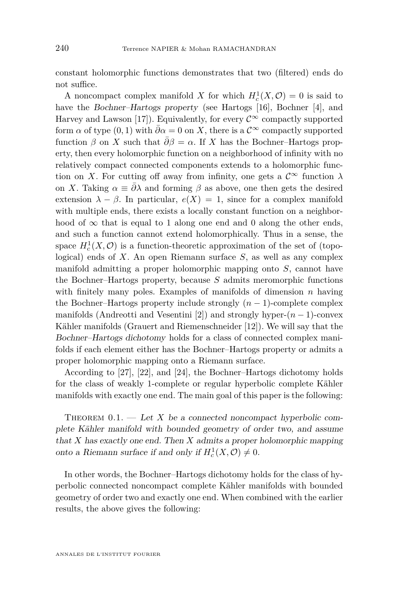constant holomorphic functions demonstrates that two (filtered) ends do not suffice.

A noncompact complex manifold *X* for which  $H_c^1(X, \mathcal{O}) = 0$  is said to have the Bochner–Hartogs property (see Hartogs [\[16\]](#page-31-8), Bochner [\[4\]](#page-30-1), and Harvey and Lawson [\[17\]](#page-31-9)). Equivalently, for every  $\mathcal{C}^{\infty}$  compactly supported form  $\alpha$  of type  $(0, 1)$  with  $\bar{\partial}\alpha = 0$  on *X*, there is a  $\mathcal{C}^{\infty}$  compactly supported function  $\beta$  on *X* such that  $\overline{\partial}\beta = \alpha$ . If *X* has the Bochner–Hartogs property, then every holomorphic function on a neighborhood of infinity with no relatively compact connected components extends to a holomorphic function on *X*. For cutting off away from infinity, one gets a  $\mathcal{C}^{\infty}$  function  $\lambda$ on *X*. Taking  $\alpha \equiv \overline{\partial} \lambda$  and forming  $\beta$  as above, one then gets the desired extension  $\lambda - \beta$ . In particular,  $e(X) = 1$ , since for a complex manifold with multiple ends, there exists a locally constant function on a neighborhood of  $\infty$  that is equal to 1 along one end and 0 along the other ends, and such a function cannot extend holomorphically. Thus in a sense, the space  $H_c^1(X, \mathcal{O})$  is a function-theoretic approximation of the set of (topological) ends of *X*. An open Riemann surface *S*, as well as any complex manifold admitting a proper holomorphic mapping onto *S*, cannot have the Bochner–Hartogs property, because *S* admits meromorphic functions with finitely many poles. Examples of manifolds of dimension *n* having the Bochner–Hartogs property include strongly  $(n-1)$ -complete complex manifolds (Andreotti and Vesentini [\[2\]](#page-30-2)) and strongly hyper-(*n* − 1)-convex Kähler manifolds (Grauert and Riemenschneider [\[12\]](#page-31-10)). We will say that the Bochner–Hartogs dichotomy holds for a class of connected complex manifolds if each element either has the Bochner–Hartogs property or admits a proper holomorphic mapping onto a Riemann surface.

According to [\[27\]](#page-31-11), [\[22\]](#page-31-12), and [\[24\]](#page-31-13), the Bochner–Hartogs dichotomy holds for the class of weakly 1-complete or regular hyperbolic complete Kähler manifolds with exactly one end. The main goal of this paper is the following:

<span id="page-2-0"></span>THEOREM  $0.1.$  — Let X be a connected noncompact hyperbolic complete Kähler manifold with bounded geometry of order two, and assume that *X* has exactly one end. Then *X* admits a proper holomorphic mapping onto a Riemann surface if and only if  $H_c^1(X, \mathcal{O}) \neq 0$ .

In other words, the Bochner–Hartogs dichotomy holds for the class of hyperbolic connected noncompact complete Kähler manifolds with bounded geometry of order two and exactly one end. When combined with the earlier results, the above gives the following: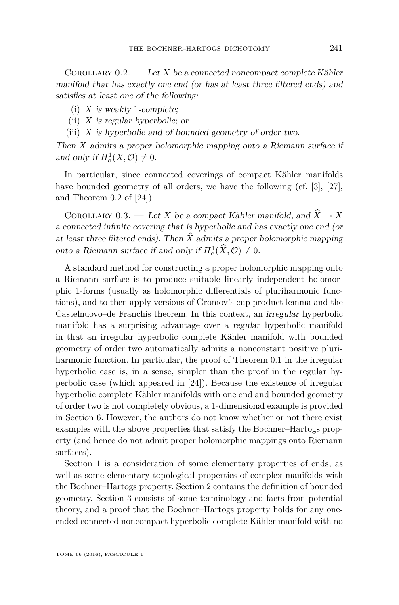COROLLARY  $0.2.$  — Let X be a connected noncompact complete Kähler manifold that has exactly one end (or has at least three filtered ends) and satisfies at least one of the following:

- (i) *X* is weakly 1-complete;
- (ii) *X* is regular hyperbolic; or
- (iii) *X* is hyperbolic and of bounded geometry of order two.

Then *X* admits a proper holomorphic mapping onto a Riemann surface if and only if  $H_c^1(X, \mathcal{O}) \neq 0$ .

In particular, since connected coverings of compact Kähler manifolds have bounded geometry of all orders, we have the following (cf. [\[3\]](#page-30-3), [\[27\]](#page-31-11), and Theorem 0.2 of [\[24\]](#page-31-13)):

COROLLARY 0.3. — Let *X* be a compact Kähler manifold, and  $\hat{X} \to X$ a connected infinite covering that is hyperbolic and has exactly one end (or at least three filtered ends). Then  $\hat{X}$  admits a proper holomorphic mapping onto a Riemann surface if and only if  $H_c^1(\hat{X}, \mathcal{O}) \neq 0$ .

A standard method for constructing a proper holomorphic mapping onto a Riemann surface is to produce suitable linearly independent holomorphic 1-forms (usually as holomorphic differentials of pluriharmonic functions), and to then apply versions of Gromov's cup product lemma and the Castelnuovo–de Franchis theorem. In this context, an irregular hyperbolic manifold has a surprising advantage over a regular hyperbolic manifold in that an irregular hyperbolic complete Kähler manifold with bounded geometry of order two automatically admits a nonconstant positive pluriharmonic function. In particular, the proof of Theorem [0.1](#page-2-0) in the irregular hyperbolic case is, in a sense, simpler than the proof in the regular hyperbolic case (which appeared in [\[24\]](#page-31-13)). Because the existence of irregular hyperbolic complete Kähler manifolds with one end and bounded geometry of order two is not completely obvious, a 1-dimensional example is provided in Section [6.](#page-25-0) However, the authors do not know whether or not there exist examples with the above properties that satisfy the Bochner–Hartogs property (and hence do not admit proper holomorphic mappings onto Riemann surfaces).

Section [1](#page-4-0) is a consideration of some elementary properties of ends, as well as some elementary topological properties of complex manifolds with the Bochner–Hartogs property. Section [2](#page-8-0) contains the definition of bounded geometry. Section [3](#page-9-1) consists of some terminology and facts from potential theory, and a proof that the Bochner–Hartogs property holds for any oneended connected noncompact hyperbolic complete Kähler manifold with no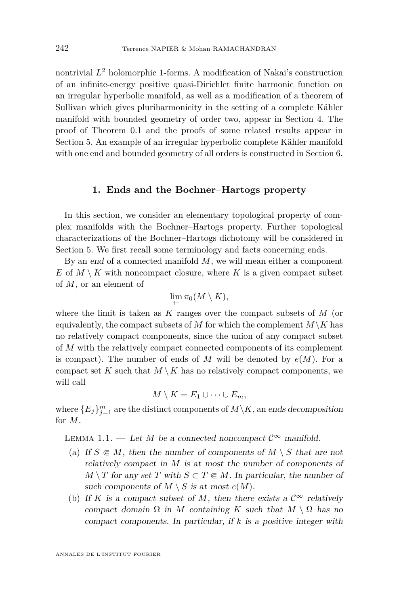nontrivial *L* <sup>2</sup> holomorphic 1-forms. A modification of Nakai's construction of an infinite-energy positive quasi-Dirichlet finite harmonic function on an irregular hyperbolic manifold, as well as a modification of a theorem of Sullivan which gives pluriharmonicity in the setting of a complete Kähler manifold with bounded geometry of order two, appear in Section [4.](#page-12-0) The proof of Theorem [0.1](#page-2-0) and the proofs of some related results appear in Section [5.](#page-19-1) An example of an irregular hyperbolic complete Kähler manifold with one end and bounded geometry of all orders is constructed in Section [6.](#page-25-0)

#### **1. Ends and the Bochner–Hartogs property**

<span id="page-4-0"></span>In this section, we consider an elementary topological property of complex manifolds with the Bochner–Hartogs property. Further topological characterizations of the Bochner–Hartogs dichotomy will be considered in Section [5.](#page-19-1) We first recall some terminology and facts concerning ends.

By an end of a connected manifold *M*, we will mean either a component *E* of  $M \setminus K$  with noncompact closure, where *K* is a given compact subset of *M*, or an element of

$$
\lim_{\leftarrow} \pi_0(M \setminus K),
$$

where the limit is taken as *K* ranges over the compact subsets of *M* (or equivalently, the compact subsets of *M* for which the complement  $M\backslash K$  has no relatively compact components, since the union of any compact subset of *M* with the relatively compact connected components of its complement is compact). The number of ends of  $M$  will be denoted by  $e(M)$ . For a compact set  $K$  such that  $M \setminus K$  has no relatively compact components, we will call

$$
M\setminus K=E_1\cup\cdots\cup E_m,
$$

where  ${E_j}_{j=1}^m$  are the distinct components of  $M\backslash K$ , an ends decomposition for *M*.

<span id="page-4-1"></span>LEMMA 1.1. — Let *M* be a connected noncompact  $\mathcal{C}^{\infty}$  manifold.

- (a) If  $S \in M$ , then the number of components of  $M \setminus S$  that are not relatively compact in *M* is at most the number of components of *M*  $\setminus$  *T* for any set *T* with *S*  $\subset$  *T*  $\in$  *M*. In particular, the number of such components of  $M \setminus S$  is at most  $e(M)$ .
- (b) If *K* is a compact subset of *M*, then there exists a  $\mathcal{C}^{\infty}$  relatively compact domain  $\Omega$  in *M* containing *K* such that  $M \setminus \Omega$  has no compact components. In particular, if *k* is a positive integer with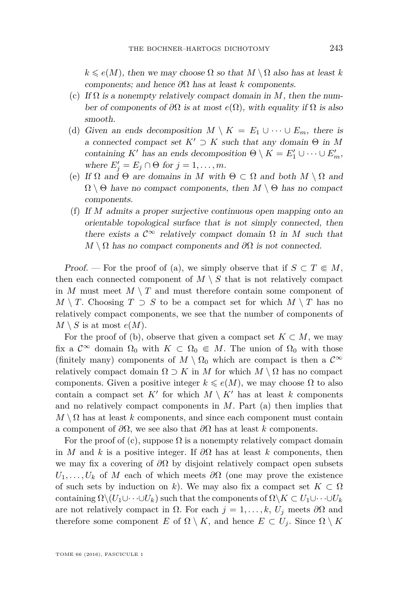$k \le e(M)$ , then we may choose  $\Omega$  so that  $M \setminus \Omega$  also has at least *k* components; and hence *∂*Ω has at least *k* components.

- (c) If  $\Omega$  is a nonempty relatively compact domain in M, then the number of components of  $\partial\Omega$  is at most  $e(\Omega)$ , with equality if  $\Omega$  is also smooth.
- (d) Given an ends decomposition  $M \setminus K = E_1 \cup \cdots \cup E_m$ , there is a connected compact set  $K' \supset K$  such that any domain  $\Theta$  in M containing *K*<sup>*i*</sup> has an ends decomposition  $\Theta \setminus K = E'_1 \cup \cdots \cup E'_m$ , where  $E'_j = E_j \cap \Theta$  for  $j = 1, \ldots, m$ .
- (e) If  $\Omega$  and  $\Theta$  are domains in *M* with  $\Theta \subset \Omega$  and both  $M \setminus \Omega$  and  $\Omega \setminus \Theta$  have no compact components, then  $M \setminus \Theta$  has no compact components.
- (f) If *M* admits a proper surjective continuous open mapping onto an orientable topological surface that is not simply connected, then there exists a  $\mathcal{C}^{\infty}$  relatively compact domain  $\Omega$  in *M* such that  $M \setminus \Omega$  has no compact components and  $\partial \Omega$  is not connected.

Proof. — For the proof of (a), we simply observe that if  $S \subset T \in M$ , then each connected component of  $M \setminus S$  that is not relatively compact in *M* must meet  $M \setminus T$  and must therefore contain some component of *M* \ *T*. Choosing  $T \supset S$  to be a compact set for which  $M \setminus T$  has no relatively compact components, we see that the number of components of  $M \setminus S$  is at most  $e(M)$ .

For the proof of (b), observe that given a compact set  $K \subset M$ , we may fix a  $\mathcal{C}^{\infty}$  domain  $\Omega_0$  with  $K \subset \Omega_0 \in M$ . The union of  $\Omega_0$  with those (finitely many) components of  $M \setminus \Omega_0$  which are compact is then a  $\mathcal{C}^{\infty}$ relatively compact domain  $\Omega \supset K$  in *M* for which  $M \setminus \Omega$  has no compact components. Given a positive integer  $k \leq e(M)$ , we may choose  $\Omega$  to also contain a compact set  $K'$  for which  $M \setminus K'$  has at least  $k$  components and no relatively compact components in *M*. Part (a) then implies that  $M \setminus \Omega$  has at least *k* components, and since each component must contain a component of *∂*Ω, we see also that *∂*Ω has at least *k* components.

For the proof of (c), suppose  $\Omega$  is a nonempty relatively compact domain in *M* and *k* is a positive integer. If  $\partial\Omega$  has at least *k* components, then we may fix a covering of *∂*Ω by disjoint relatively compact open subsets  $U_1, \ldots, U_k$  of *M* each of which meets  $\partial\Omega$  (one may prove the existence of such sets by induction on *k*). We may also fix a compact set  $K \subset \Omega$ containing  $\Omega \setminus (U_1 \cup \cdots \cup U_k)$  such that the components of  $\Omega \setminus K \subset U_1 \cup \cdots \cup U_k$ are not relatively compact in  $\Omega$ . For each  $j = 1, \ldots, k, U_j$  meets  $\partial \Omega$  and therefore some component *E* of  $\Omega \setminus K$ , and hence  $E \subset U_i$ . Since  $\Omega \setminus K$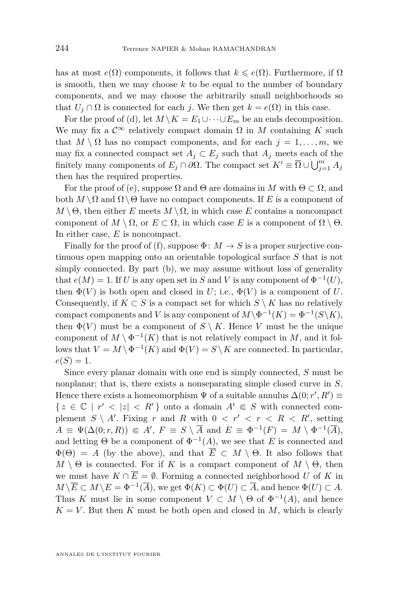has at most  $e(\Omega)$  components, it follows that  $k \leqslant e(\Omega)$ . Furthermore, if  $\Omega$ is smooth, then we may choose  $k$  to be equal to the number of boundary components, and we may choose the arbitrarily small neighborhoods so that  $U_j \cap \Omega$  is connected for each *j*. We then get  $k = e(\Omega)$  in this case.

For the proof of (d), let  $M \setminus K = E_1 \cup \cdots \cup E_m$  be an ends decomposition. We may fix a  $\mathcal{C}^{\infty}$  relatively compact domain  $\Omega$  in *M* containing *K* such that  $M \setminus \Omega$  has no compact components, and for each  $j = 1, \ldots, m$ , we may fix a connected compact set  $A_j \subset E_j$  such that  $A_j$  meets each of the finitely many components of  $E_j \cap \partial \Omega$ . The compact set  $K' \equiv \overline{\Omega} \cup \bigcup_{j=1}^m A_j$ then has the required properties.

For the proof of (e), suppose  $\Omega$  and  $\Theta$  are domains in *M* with  $\Theta \subset \Omega$ , and both  $M \setminus \Omega$  and  $\Omega \setminus \Theta$  have no compact components. If *E* is a component of  $M \setminus \Theta$ , then either *E* meets  $M \setminus \Omega$ , in which case *E* contains a noncompact component of  $M \setminus \Omega$ , or  $E \subset \Omega$ , in which case *E* is a component of  $\Omega \setminus \Theta$ . In either case, *E* is noncompact.

Finally for the proof of (f), suppose  $\Phi: M \to S$  is a proper surjective continuous open mapping onto an orientable topological surface *S* that is not simply connected. By part (b), we may assume without loss of generality that  $e(M) = 1$ . If *U* is any open set in *S* and *V* is any component of  $\Phi^{-1}(U)$ , then  $\Phi(V)$  is both open and closed in *U*; i.e.,  $\Phi(V)$  is a component of *U*. Consequently, if  $K \subset S$  is a compact set for which  $S \setminus K$  has no relatively compact components and *V* is any component of  $M \setminus \Phi^{-1}(K) = \Phi^{-1}(S \setminus K)$ , then  $\Phi(V)$  must be a component of  $S \setminus K$ . Hence V must be the unique component of  $M \setminus \Phi^{-1}(K)$  that is not relatively compact in M, and it follows that  $V = M \setminus \Phi^{-1}(K)$  and  $\Phi(V) = S \setminus K$  are connected. In particular,  $e(S) = 1.$ 

Since every planar domain with one end is simply connected, *S* must be nonplanar; that is, there exists a nonseparating simple closed curve in *S*. Hence there exists a homeomorphism  $\Psi$  of a suitable annulus  $\Delta(0; r', R') \equiv$  $\{z \in \mathbb{C} \mid r' < |z| < R'\}$  onto a domain  $A' \in S$  with connected complement  $S \setminus A'$ . Fixing *r* and *R* with  $0 < r' < r < R < R'$ , setting  $A \equiv \Psi(\Delta(0; r, R)) \Subset A', F \equiv S \setminus \overline{A} \text{ and } E \equiv \Phi^{-1}(F) = M \setminus \Phi^{-1}(\overline{A}),$ and letting  $\Theta$  be a component of  $\Phi^{-1}(A)$ , we see that *E* is connected and  $\Phi(\Theta) = A$  (by the above), and that  $\overline{E} \subset M \setminus \Theta$ . It also follows that  $M \setminus \Theta$  is connected. For if *K* is a compact component of  $M \setminus \Theta$ , then we must have  $K \cap \overline{E} = \emptyset$ . Forming a connected neighborhood *U* of *K* in  $M \setminus \overline{E} \subset M \setminus E = \Phi^{-1}(\overline{A})$ , we get  $\Phi(K) \subset \Phi(U) \subset \overline{A}$ , and hence  $\Phi(U) \subset A$ . Thus *K* must lie in some component  $V \subset M \setminus \Theta$  of  $\Phi^{-1}(A)$ , and hence  $K = V$ . But then *K* must be both open and closed in *M*, which is clearly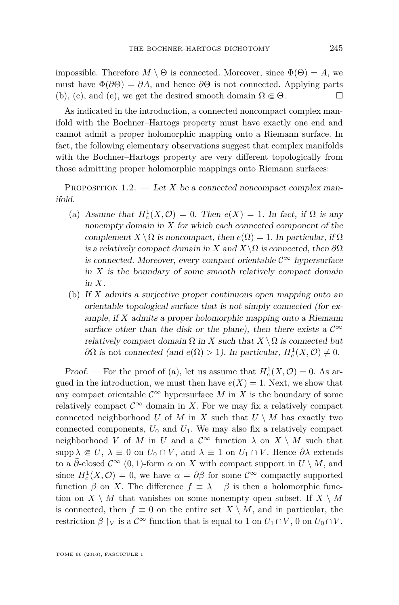impossible. Therefore  $M \setminus \Theta$  is connected. Moreover, since  $\Phi(\Theta) = A$ , we must have  $\Phi(\partial\Theta) = \partial A$ , and hence  $\partial\Theta$  is not connected. Applying parts (b), (c), and (e), we get the desired smooth domain  $\Omega \in \Theta$ .

As indicated in the introduction, a connected noncompact complex manifold with the Bochner–Hartogs property must have exactly one end and cannot admit a proper holomorphic mapping onto a Riemann surface. In fact, the following elementary observations suggest that complex manifolds with the Bochner–Hartogs property are very different topologically from those admitting proper holomorphic mappings onto Riemann surfaces:

<span id="page-7-0"></span>PROPOSITION  $1.2.$  — Let *X* be a connected noncompact complex manifold.

- (a) Assume that  $H_c^1(X, \mathcal{O}) = 0$ . Then  $e(X) = 1$ . In fact, if  $\Omega$  is any nonempty domain in *X* for which each connected component of the complement *X* \  $\Omega$  is noncompact, then  $e(\Omega) = 1$ . In particular, if  $\Omega$ is a relatively compact domain in *X* and  $X\setminus\Omega$  is connected, then  $\partial\Omega$ is connected. Moreover, every compact orientable  $\mathcal{C}^{\infty}$  hypersurface in *X* is the boundary of some smooth relatively compact domain in *X*.
- (b) If *X* admits a surjective proper continuous open mapping onto an orientable topological surface that is not simply connected (for example, if *X* admits a proper holomorphic mapping onto a Riemann surface other than the disk or the plane), then there exists a  $\mathcal{C}^{\infty}$ relatively compact domain  $\Omega$  in *X* such that  $X \setminus \Omega$  is connected but  $\partial\Omega$  is not connected (and  $e(\Omega) > 1$ ). In particular,  $H_c^1(X, \mathcal{O}) \neq 0$ .

Proof. — For the proof of (a), let us assume that  $H_c^1(X, \mathcal{O}) = 0$ . As argued in the introduction, we must then have  $e(X) = 1$ . Next, we show that any compact orientable  $\mathcal{C}^{\infty}$  hypersurface M in X is the boundary of some relatively compact  $\mathcal{C}^{\infty}$  domain in X. For we may fix a relatively compact connected neighborhood *U* of *M* in *X* such that  $U \setminus M$  has exactly two connected components,  $U_0$  and  $U_1$ . We may also fix a relatively compact neighborhood *V* of *M* in *U* and a  $\mathcal{C}^{\infty}$  function  $\lambda$  on  $X \setminus M$  such that supp  $\lambda \in U$ ,  $\lambda \equiv 0$  on  $U_0 \cap V$ , and  $\lambda \equiv 1$  on  $U_1 \cap V$ . Hence  $\overline{\partial} \lambda$  extends to a  $\partial$ -closed  $\mathcal{C}^{\infty}$  (0, 1)-form  $\alpha$  on X with compact support in  $U \setminus M$ , and since  $H_c^1(X, \mathcal{O}) = 0$ , we have  $\alpha = \overline{\partial} \beta$  for some  $\mathcal{C}^{\infty}$  compactly supported function  $\beta$  on *X*. The difference  $f \equiv \lambda - \beta$  is then a holomorphic function on  $X \setminus M$  that vanishes on some nonempty open subset. If  $X \setminus M$ is connected, then  $f \equiv 0$  on the entire set  $X \setminus M$ , and in particular, the restriction  $\beta \restriction_V \text{is a } \mathcal{C}^\infty$  function that is equal to 1 on  $U_1 \cap V$ , 0 on  $U_0 \cap V$ .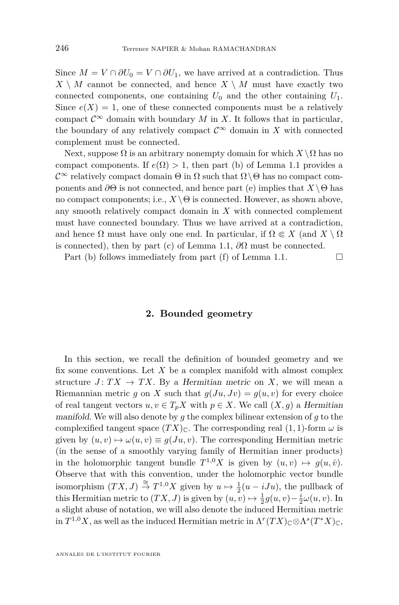Since  $M = V \cap \partial U_0 = V \cap \partial U_1$ , we have arrived at a contradiction. Thus  $X \setminus M$  cannot be connected, and hence  $X \setminus M$  must have exactly two connected components, one containing  $U_0$  and the other containing  $U_1$ . Since  $e(X) = 1$ , one of these connected components must be a relatively compact  $\mathcal{C}^{\infty}$  domain with boundary *M* in *X*. It follows that in particular, the boundary of any relatively compact  $\mathcal{C}^{\infty}$  domain in X with connected complement must be connected.

Next, suppose  $\Omega$  is an arbitrary nonempty domain for which  $X \setminus \Omega$  has no compact components. If  $e(\Omega) > 1$ , then part (b) of Lemma [1.1](#page-4-1) provides a  $\mathcal{C}^{\infty}$  relatively compact domain  $\Theta$  in  $\Omega$  such that  $\Omega \setminus \Theta$  has no compact components and  $\partial\Theta$  is not connected, and hence part (e) implies that  $X\setminus\Theta$  has no compact components; i.e.,  $X \setminus \Theta$  is connected. However, as shown above, any smooth relatively compact domain in *X* with connected complement must have connected boundary. Thus we have arrived at a contradiction, and hence  $\Omega$  must have only one end. In particular, if  $\Omega \subseteq X$  (and  $X \setminus \Omega$ is connected), then by part (c) of Lemma [1.1,](#page-4-1)  $\partial\Omega$  must be connected.

Part (b) follows immediately from part (f) of Lemma [1.1.](#page-4-1)  $\Box$ 

#### **2. Bounded geometry**

<span id="page-8-0"></span>In this section, we recall the definition of bounded geometry and we fix some conventions. Let *X* be a complex manifold with almost complex structure  $J: TX \to TX$ . By a Hermitian metric on X, we will mean a Riemannian metric *g* on *X* such that  $g(Ju, Jv) = g(u, v)$  for every choice of real tangent vectors  $u, v \in T_pX$  with  $p \in X$ . We call  $(X, g)$  a Hermitian manifold. We will also denote by *g* the complex bilinear extension of *g* to the complexified tangent space  $(TX)_{\mathbb{C}}$ . The corresponding real  $(1, 1)$ -form  $\omega$  is given by  $(u, v) \mapsto \omega(u, v) \equiv g(Ju, v)$ . The corresponding Hermitian metric (in the sense of a smoothly varying family of Hermitian inner products) in the holomorphic tangent bundle  $T^{1,0}X$  is given by  $(u, v) \mapsto g(u, \bar{v})$ . Observe that with this convention, under the holomorphic vector bundle isomorphism  $(TX, J) \stackrel{\cong}{\to} T^{1,0}X$  given by  $u \mapsto \frac{1}{2}(u - iJu)$ , the pullback of this Hermitian metric to  $(TX, J)$  is given by  $(u, v) \mapsto \frac{1}{2}g(u, v) - \frac{i}{2}\omega(u, v)$ . In a slight abuse of notation, we will also denote the induced Hermitian metric in  $T^{1,0}X$ , as well as the induced Hermitian metric in  $\Lambda^r(TX)_{\mathbb{C}} \otimes \Lambda^s(T^*X)_{\mathbb{C}}$ ,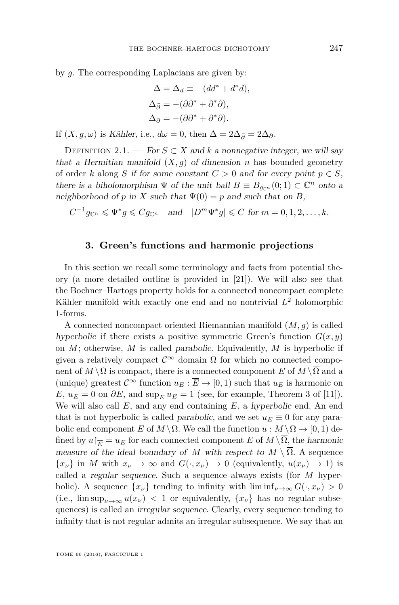by *g*. The corresponding Laplacians are given by:

$$
\Delta = \Delta_d \equiv -(dd^* + d^*d),
$$
  
\n
$$
\Delta_{\bar{\partial}} = -(\bar{\partial}\bar{\partial}^* + \bar{\partial}^*\bar{\partial}),
$$
  
\n
$$
\Delta_{\partial} = -(\partial\partial^* + \partial^*\partial).
$$

If  $(X, g, \omega)$  is Kähler, i.e.,  $d\omega = 0$ , then  $\Delta = 2\Delta_{\bar{\partial}} = 2\Delta_{\partial}$ .

<span id="page-9-0"></span>DEFINITION 2.1. — For  $S \subset X$  and  $k$  a nonnegative integer, we will say that a Hermitian manifold  $(X, q)$  of dimension *n* has bounded geometry of order *k* along *S* if for some constant  $C > 0$  and for every point  $p \in S$ , there is a biholomorphism  $\Psi$  of the unit ball  $B \equiv B_{g_{\mathbb{C}^n}}(0;1) \subset \mathbb{C}^n$  onto a neighborhood of *p* in *X* such that  $\Psi(0) = p$  and such that on *B*,

 $C^{-1}g_{\mathbb{C}^n} \leqslant \Psi^*g \leqslant Cg_{\mathbb{C}^n}$  and  $|D^m\Psi^*g| \leqslant C$  for  $m = 0, 1, 2, \ldots, k$ .

#### **3. Green's functions and harmonic projections**

<span id="page-9-1"></span>In this section we recall some terminology and facts from potential theory (a more detailed outline is provided in [\[21\]](#page-31-4)). We will also see that the Bochner–Hartogs property holds for a connected noncompact complete Kähler manifold with exactly one end and no nontrivial *L* <sup>2</sup> holomorphic 1-forms.

A connected noncompact oriented Riemannian manifold (*M, g*) is called hyperbolic if there exists a positive symmetric Green's function  $G(x, y)$ on *M*; otherwise, *M* is called parabolic. Equivalently, *M* is hyperbolic if given a relatively compact  $\mathcal{C}^{\infty}$  domain  $\Omega$  for which no connected component of  $M \setminus \Omega$  is compact, there is a connected component *E* of  $M \setminus \overline{\Omega}$  and a (unique) greatest  $\mathcal{C}^{\infty}$  function  $u_E : \overline{E} \to [0,1)$  such that  $u_E$  is harmonic on *E*,  $u_E = 0$  on  $\partial E$ , and  $\sup_E u_E = 1$  (see, for example, Theorem 3 of [\[11\]](#page-31-14)). We will also call *E*, and any end containing *E*, a hyperbolic end. An end that is not hyperbolic is called *parabolic*, and we set  $u_E \equiv 0$  for any parabolic end component *E* of  $M \setminus \Omega$ . We call the function  $u : M \setminus \Omega \to [0,1)$  defined by  $u|_{\overline{E}} = u_E$  for each connected component *E* of  $M \setminus \overline{\Omega}$ , the harmonic measure of the ideal boundary of *M* with respect to  $M \setminus \overline{\Omega}$ . A sequence  ${x<sub>\nu</sub>}$  in *M* with  $x<sub>\nu</sub> \to \infty$  and  $G(\cdot, x<sub>\nu</sub>) \to 0$  (equivalently,  $u(x<sub>\nu</sub>) \to 1$ ) is called a regular sequence. Such a sequence always exists (for *M* hyperbolic). A sequence  $\{x_\nu\}$  tending to infinity with  $\liminf_{\nu\to\infty} G(\cdot, x_\nu) > 0$  $(i.e., \limsup_{\nu \to \infty} u(x_{\nu}) < 1$  or equivalently,  $\{x_{\nu}\}\$  has no regular subsequences) is called an irregular sequence. Clearly, every sequence tending to infinity that is not regular admits an irregular subsequence. We say that an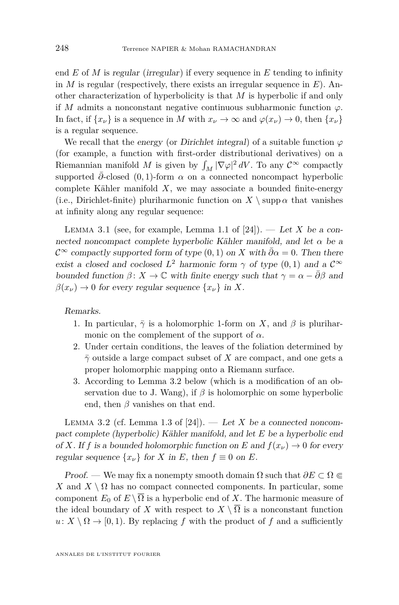end *E* of *M* is regular (irregular) if every sequence in *E* tending to infinity in *M* is regular (respectively, there exists an irregular sequence in *E*). Another characterization of hyperbolicity is that *M* is hyperbolic if and only if *M* admits a nonconstant negative continuous subharmonic function  $\varphi$ . In fact, if  $\{x_\nu\}$  is a sequence in *M* with  $x_\nu \to \infty$  and  $\varphi(x_\nu) \to 0$ , then  $\{x_\nu\}$ is a regular sequence.

We recall that the energy (or Dirichlet integral) of a suitable function  $\varphi$ (for example, a function with first-order distributional derivatives) on a Riemannian manifold M is given by  $\int_M |\nabla \varphi|^2 dV$ . To any  $\mathcal{C}^{\infty}$  compactly supported  $\bar{\partial}$ -closed (0, 1)-form  $\alpha$  on a connected noncompact hyperbolic complete Kähler manifold *X*, we may associate a bounded finite-energy (i.e., Dirichlet-finite) pluriharmonic function on  $X \setminus \text{supp } \alpha$  that vanishes at infinity along any regular sequence:

<span id="page-10-1"></span>LEMMA 3.1 (see, for example, Lemma 1.1 of  $[24]$ ). — Let *X* be a connected noncompact complete hyperbolic Kähler manifold, and let *α* be a  $\mathcal{C}^{\infty}$  compactly supported form of type  $(0, 1)$  on *X* with  $\bar{\partial}\alpha = 0$ . Then there exist a closed and coclosed  $L^2$  harmonic form  $\gamma$  of type  $(0,1)$  and a  $\mathcal{C}^{\infty}$ bounded function  $β: X \to \mathbb{C}$  with finite energy such that  $γ = α - \overline{∂β}$  and  $\beta(x_\nu) \to 0$  for every regular sequence  $\{x_\nu\}$  in X.

Remarks.

- 1. In particular,  $\bar{\gamma}$  is a holomorphic 1-form on *X*, and  $\beta$  is pluriharmonic on the complement of the support of  $\alpha$ .
- 2. Under certain conditions, the leaves of the foliation determined by  $\bar{\gamma}$  outside a large compact subset of *X* are compact, and one gets a proper holomorphic mapping onto a Riemann surface.
- 3. According to Lemma [3.2](#page-10-0) below (which is a modification of an observation due to J. Wang), if *β* is holomorphic on some hyperbolic end, then  $\beta$  vanishes on that end.

<span id="page-10-0"></span>LEMMA 3.2 (cf. Lemma 1.3 of  $[24]$ ). — Let *X* be a connected noncompact complete (hyperbolic) Kähler manifold, and let *E* be a hyperbolic end of *X*. If *f* is a bounded holomorphic function on *E* and  $f(x_\nu) \to 0$  for every regular sequence  $\{x_\nu\}$  for *X* in *E*, then  $f \equiv 0$  on *E*.

Proof. — We may fix a nonempty smooth domain Ω such that *∂E* ⊂ Ω b *X* and  $X \setminus \Omega$  has no compact connected components. In particular, some component  $E_0$  of  $E \setminus \overline{\Omega}$  is a hyperbolic end of *X*. The harmonic measure of the ideal boundary of *X* with respect to  $X \setminus \overline{\Omega}$  is a nonconstant function  $u: X \setminus \Omega \to [0, 1)$ . By replacing *f* with the product of *f* and a sufficiently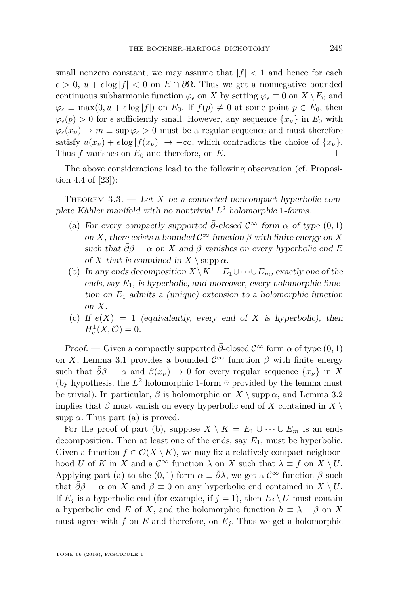small nonzero constant, we may assume that  $|f| < 1$  and hence for each  $\epsilon > 0$ ,  $u + \epsilon \log |f| < 0$  on  $E \cap \partial \Omega$ . Thus we get a nonnegative bounded continuous subharmonic function  $\varphi_{\epsilon}$  on *X* by setting  $\varphi_{\epsilon} \equiv 0$  on *X* \ E<sub>0</sub> and  $\varphi_{\epsilon} \equiv \max(0, u + \epsilon \log |f|)$  on  $E_0$ . If  $f(p) \neq 0$  at some point  $p \in E_0$ , then  $\varphi_{\epsilon}(p) > 0$  for  $\epsilon$  sufficiently small. However, any sequence  $\{x_{\nu}\}\$ in  $E_0$  with  $\varphi_{\epsilon}(x_{\nu}) \rightarrow m \equiv \sup \varphi_{\epsilon} > 0$  must be a regular sequence and must therefore satisfy  $u(x_\nu) + \epsilon \log |f(x_\nu)| \to -\infty$ , which contradicts the choice of  $\{x_\nu\}$ . Thus *f* vanishes on  $E_0$  and therefore, on *E*.

The above considerations lead to the following observation (cf. Proposition 4.4 of [\[23\]](#page-31-15)):

THEOREM  $3.3.$  — Let X be a connected noncompact hyperbolic complete Kähler manifold with no nontrivial *L* <sup>2</sup> holomorphic 1-forms.

- (a) For every compactly supported  $\bar{\partial}$ -closed  $\mathcal{C}^{\infty}$  form  $\alpha$  of type  $(0,1)$ on *X*, there exists a bounded  $\mathcal{C}^{\infty}$  function  $\beta$  with finite energy on *X* such that  $\bar{\partial}\beta = \alpha$  on *X* and  $\beta$  vanishes on every hyperbolic end *E* of *X* that is contained in  $X \setminus \text{supp } \alpha$ .
- (b) In any ends decomposition  $X \setminus K = E_1 \cup \cdots \cup E_m$ , exactly one of the ends, say *E*1, is hyperbolic, and moreover, every holomorphic function on *E*<sup>1</sup> admits a (unique) extension to a holomorphic function on *X*.
- (c) If  $e(X) = 1$  (equivalently, every end of X is hyperbolic), then  $H_c^1(X, \mathcal{O}) = 0.$

Proof. — Given a compactly supported  $\bar{\partial}$ -closed  $\mathcal{C}^{\infty}$  form  $\alpha$  of type  $(0, 1)$ on *X*, Lemma [3.1](#page-10-1) provides a bounded  $\mathcal{C}^{\infty}$  function  $\beta$  with finite energy such that  $\bar{\partial}\beta = \alpha$  and  $\beta(x_\nu) \to 0$  for every regular sequence  $\{x_\nu\}$  in X (by hypothesis, the  $L^2$  holomorphic 1-form  $\bar{\gamma}$  provided by the lemma must be trivial). In particular,  $\beta$  is holomorphic on  $X \setminus \text{supp }\alpha$ , and Lemma [3.2](#page-10-0) implies that  $\beta$  must vanish on every hyperbolic end of *X* contained in  $X \setminus$  $\text{supp }\alpha$ . Thus part (a) is proved.

For the proof of part (b), suppose  $X \setminus K = E_1 \cup \cdots \cup E_m$  is an ends decomposition. Then at least one of the ends, say *E*1, must be hyperbolic. Given a function  $f \in \mathcal{O}(X \setminus K)$ , we may fix a relatively compact neighborhood *U* of *K* in *X* and a  $C^{\infty}$  function  $\lambda$  on *X* such that  $\lambda \equiv f$  on  $X \setminus U$ . Applying part (a) to the  $(0, 1)$ -form  $\alpha \equiv \overline{\partial} \lambda$ , we get a  $\mathcal{C}^{\infty}$  function  $\beta$  such that  $\partial \beta = \alpha$  on *X* and  $\beta \equiv 0$  on any hyperbolic end contained in  $X \setminus U$ . If  $E_j$  is a hyperbolic end (for example, if  $j = 1$ ), then  $E_j \setminus U$  must contain a hyperbolic end *E* of *X*, and the holomorphic function  $h \equiv \lambda - \beta$  on *X* must agree with  $f$  on  $E$  and therefore, on  $E_i$ . Thus we get a holomorphic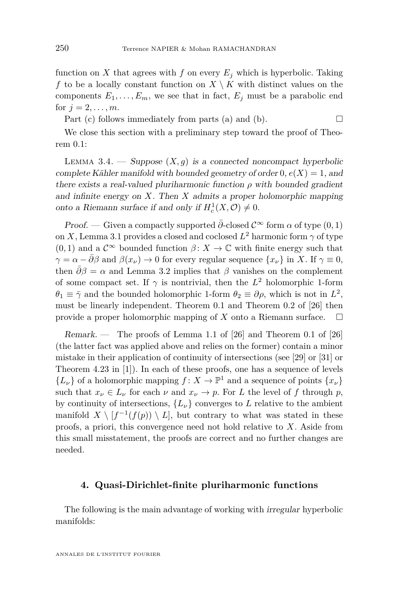function on *X* that agrees with *f* on every  $E_i$  which is hyperbolic. Taking *f* to be a locally constant function on  $X \setminus K$  with distinct values on the components  $E_1, \ldots, E_m$ , we see that in fact,  $E_j$  must be a parabolic end for  $j = 2, ..., m$ .

Part (c) follows immediately from parts (a) and (b).  $\Box$ 

We close this section with a preliminary step toward the proof of Theorem [0.1:](#page-2-0)

<span id="page-12-1"></span>LEMMA 3.4. — Suppose  $(X, q)$  is a connected noncompact hyperbolic complete Kähler manifold with bounded geometry of order  $0, e(X) = 1$ , and there exists a real-valued pluriharmonic function  $\rho$  with bounded gradient and infinite energy on *X*. Then *X* admits a proper holomorphic mapping onto a Riemann surface if and only if  $H_c^1(X, \mathcal{O}) \neq 0$ .

Proof. — Given a compactly supported  $\bar{\partial}$ -closed  $\mathcal{C}^{\infty}$  form  $\alpha$  of type  $(0, 1)$ on *X*, Lemma [3.1](#page-10-1) provides a closed and coclosed  $L^2$  harmonic form  $\gamma$  of type  $(0,1)$  and a  $\mathcal{C}^{\infty}$  bounded function  $\beta: X \to \mathbb{C}$  with finite energy such that  $\gamma = \alpha - \bar{\partial}\beta$  and  $\beta(x_\nu) \to 0$  for every regular sequence  $\{x_\nu\}$  in *X*. If  $\gamma \equiv 0$ , then  $\bar{\partial}\beta = \alpha$  and Lemma [3.2](#page-10-0) implies that  $\beta$  vanishes on the complement of some compact set. If  $\gamma$  is nontrivial, then the  $L^2$  holomorphic 1-form  $\theta_1 \equiv \bar{\gamma}$  and the bounded holomorphic 1-form  $\theta_2 \equiv \partial \rho$ , which is not in  $L^2$ , must be linearly independent. Theorem 0.1 and Theorem 0.2 of [\[26\]](#page-31-7) then provide a proper holomorphic mapping of  $X$  onto a Riemann surface.  $\Box$ 

Remark. — The proofs of Lemma 1.1 of [\[26\]](#page-31-7) and Theorem 0.1 of [\[26\]](#page-31-7) (the latter fact was applied above and relies on the former) contain a minor mistake in their application of continuity of intersections (see [\[29\]](#page-32-0) or [\[31\]](#page-32-1) or Theorem 4.23 in [\[1\]](#page-30-4)). In each of these proofs, one has a sequence of levels  ${L<sub>\nu</sub>}$  of a holomorphic mapping  $f: X \to \mathbb{P}^1$  and a sequence of points  ${x<sub>\nu</sub>}$ such that  $x_{\nu} \in L_{\nu}$  for each  $\nu$  and  $x_{\nu} \to p$ . For *L* the level of *f* through *p*, by continuity of intersections,  ${L<sub>\nu</sub>}$  converges to *L* relative to the ambient manifold  $X \setminus [f^{-1}(f(p)) \setminus L]$ , but contrary to what was stated in these proofs, a priori, this convergence need not hold relative to *X*. Aside from this small misstatement, the proofs are correct and no further changes are needed.

#### <span id="page-12-0"></span>**4. Quasi-Dirichlet-finite pluriharmonic functions**

The following is the main advantage of working with irregular hyperbolic manifolds: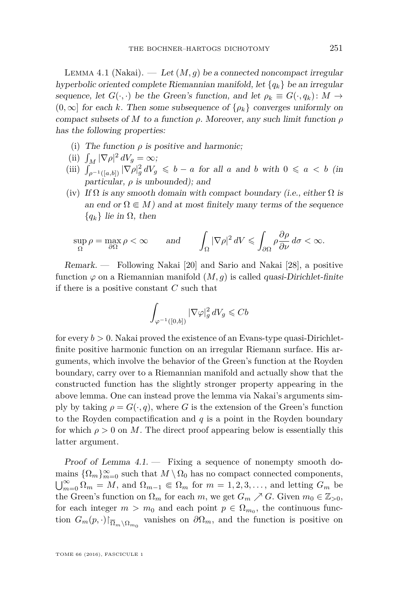<span id="page-13-0"></span>LEMMA 4.1 (Nakai).  $-$  Let  $(M, g)$  be a connected noncompact irregular hyperbolic oriented complete Riemannian manifold, let {*qk*} be an irregular sequence, let  $G(\cdot, \cdot)$  be the Green's function, and let  $\rho_k \equiv G(\cdot, q_k) : M \to$  $(0, \infty]$  for each *k*. Then some subsequence of  $\{\rho_k\}$  converges uniformly on compact subsets of *M* to a function *ρ*. Moreover, any such limit function *ρ* has the following properties:

- (i) The function  $\rho$  is positive and harmonic;
- (ii)  $\int_M |\nabla \rho|^2 dV_g = \infty;$
- (iii)  $\int_{\rho^{-1}([a,b])} |\nabla \rho|_g^2 dV_g \leq b a$  for all *a* and *b* with  $0 \leq a < b$  (in particular,  $\rho$  is unbounded); and
- (iv) If  $\Omega$  is any smooth domain with compact boundary (i.e., either  $\Omega$  is an end or  $\Omega \in M$ ) and at most finitely many terms of the sequence  ${q_k}$  lie in  $\Omega$ , then

$$
\sup_{\Omega} \rho = \max_{\partial \Omega} \rho < \infty \qquad \text{and} \qquad \int_{\Omega} |\nabla \rho|^2 \, dV \leq \int_{\partial \Omega} \rho \frac{\partial \rho}{\partial \nu} \, d\sigma < \infty.
$$

Remark. — Following Nakai [\[20\]](#page-31-16) and Sario and Nakai [\[28\]](#page-32-2), a positive function  $\varphi$  on a Riemannian manifold  $(M, g)$  is called *quasi-Dirichlet-finite* if there is a positive constant *C* such that

$$
\int_{\varphi^{-1}([0,b])} |\nabla \varphi|_g^2 dV_g \leqslant Cb
$$

for every  $b > 0$ . Nakai proved the existence of an Evans-type quasi-Dirichletfinite positive harmonic function on an irregular Riemann surface. His arguments, which involve the behavior of the Green's function at the Royden boundary, carry over to a Riemannian manifold and actually show that the constructed function has the slightly stronger property appearing in the above lemma. One can instead prove the lemma via Nakai's arguments simply by taking  $\rho = G(\cdot, q)$ , where *G* is the extension of the Green's function to the Royden compactification and *q* is a point in the Royden boundary for which  $\rho > 0$  on M. The direct proof appearing below is essentially this latter argument.

Proof of Lemma  $4.1$ .  $-$  Fixing a sequence of nonempty smooth domains  $\{\Omega_m\}_{m=0}^{\infty}$  such that  $M \setminus \Omega_0$  has no compact connected components,  $\bigcup_{m=0}^{\infty} \Omega_m = M$ , and  $\Omega_{m-1} \in \Omega_m$  for  $m = 1, 2, 3, \ldots$ , and letting  $G_m$  be the Green's function on  $\Omega_m$  for each *m*, we get  $G_m \nearrow G$ . Given  $m_0 \in \mathbb{Z}_{>0}$ , for each integer  $m > m_0$  and each point  $p \in \Omega_{m_0}$ , the continuous function  $G_m(p,.)|_{\overline{\Omega}_m \setminus \Omega_{m_0}}$  vanishes on  $\partial \Omega_m$ , and the function is positive on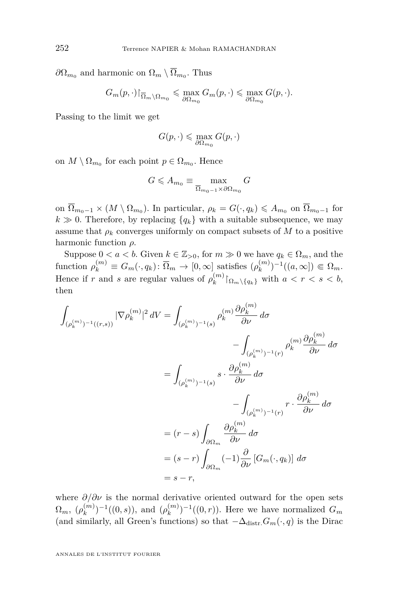$\partial\Omega_{m_0}$  and harmonic on  $\Omega_m \setminus \Omega_{m_0}$ . Thus

$$
G_m(p,\cdot)\vert_{\overline{\Omega}_m\setminus\Omega_{m_0}}\leqslant\max_{\partial\Omega_{m_0}}G_m(p,\cdot)\leqslant\max_{\partial\Omega_{m_0}}G(p,\cdot).
$$

Passing to the limit we get

$$
G(p,\cdot) \leqslant \max_{\partial \Omega_{m_0}} G(p,\cdot)
$$

on  $M \setminus \Omega_{m_0}$  for each point  $p \in \Omega_{m_0}$ . Hence

$$
G \leqslant A_{m_0} \equiv \max_{\overline{\Omega}_{m_0 - 1} \times \partial \Omega_{m_0}} G
$$

on  $\overline{\Omega}_{m_0-1} \times (M \setminus \Omega_{m_0})$ . In particular,  $\rho_k = G(\cdot, q_k) \leq A_{m_0}$  on  $\overline{\Omega}_{m_0-1}$  for  $k \gg 0$ . Therefore, by replacing  ${q_k}$  with a suitable subsequence, we may assume that  $\rho_k$  converges uniformly on compact subsets of M to a positive harmonic function *ρ*.

Suppose  $0 < a < b$ . Given  $k \in \mathbb{Z}_{>0}$ , for  $m \gg 0$  we have  $q_k \in \Omega_m$ , and the function  $\rho_k^{(m)} \equiv G_m(\cdot, q_k) : \overline{\Omega}_m \to [0, \infty]$  satisfies  $(\rho_k^{(m)})$  ${k^{(m)}_{k}}$ <sup>-1</sup>((*a*, ∞])  $\in \Omega_{m}$ . Hence if *r* and *s* are regular values of  $\rho_k^{(m)}$  $\binom{m}{k}$   $\lceil \Omega_m \setminus \{q_k\} \rceil$  with  $a < r < s < b$ , then

$$
\int_{(\rho_k^{(m)})^{-1}((r,s))} |\nabla \rho_k^{(m)}|^2 dV = \int_{(\rho_k^{(m)})^{-1}(s)} \rho_k^{(m)} \frac{\partial \rho_k^{(m)}}{\partial \nu} d\sigma
$$
\n
$$
- \int_{(\rho_k^{(m)})^{-1}(r)} \rho_k^{(m)} \frac{\partial \rho_k^{(m)}}{\partial \nu} d\sigma
$$
\n
$$
= \int_{(\rho_k^{(m)})^{-1}(s)} s \cdot \frac{\partial \rho_k^{(m)}}{\partial \nu} d\sigma
$$
\n
$$
- \int_{(\rho_k^{(m)})^{-1}(r)} r \cdot \frac{\partial \rho_k^{(m)}}{\partial \nu} d\sigma
$$
\n
$$
= (r-s) \int_{\partial \Omega_m} \frac{\partial \rho_k^{(m)}}{\partial \nu} d\sigma
$$
\n
$$
= (s-r) \int_{\partial \Omega_m} (-1) \frac{\partial}{\partial \nu} [G_m(\cdot, q_k)] d\sigma
$$
\n
$$
= s-r,
$$

where *∂/∂ν* is the normal derivative oriented outward for the open sets  $\Omega_m,~\left( \rho_k^{(m)} \right)$  $\binom{m}{k}$ <sup>-1</sup>((0*, s*)), and ( $\rho_k^{(m)}$ )  ${k^{(m)} \choose k}$ <sup>-1</sup>((0, *r*)). Here we have normalized  $G_m$ (and similarly, all Green's functions) so that  $-\Delta_{\text{distr}} G_m(\cdot, q)$  is the Dirac

ANNALES DE L'INSTITUT FOURIER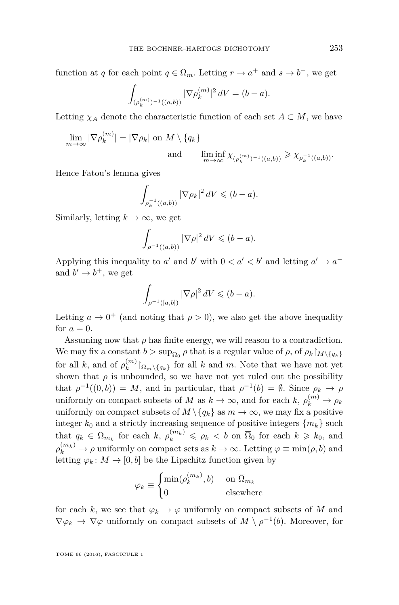function at *q* for each point  $q \in \Omega_m$ . Letting  $r \to a^+$  and  $s \to b^-$ , we get

$$
\int_{(\rho_k^{(m)})^{-1}((a,b))} |\nabla \rho_k^{(m)}|^2 \, dV = (b-a).
$$

Letting  $\chi_A$  denote the characteristic function of each set  $A \subset M$ , we have

$$
\lim_{m \to \infty} |\nabla \rho_k^{(m)}| = |\nabla \rho_k| \text{ on } M \setminus \{q_k\}
$$
  
and 
$$
\liminf_{m \to \infty} \chi_{(\rho_k^{(m)})^{-1}((a,b))} \ge \chi_{\rho_k^{-1}((a,b))}.
$$

Hence Fatou's lemma gives

$$
\int_{\rho_k^{-1}((a,b))} |\nabla \rho_k|^2 \, dV \leq (b-a).
$$

Similarly, letting  $k \to \infty$ , we get

$$
\int_{\rho^{-1}((a,b))} |\nabla \rho|^2\,dV \leqslant (b-a).
$$

Applying this inequality to *a'* and *b'* with  $0 < a' < b'$  and letting  $a' \rightarrow a^{-}$ and  $b' \rightarrow b^+$ , we get

$$
\int_{\rho^{-1}([a,b])} |\nabla \rho|^2 dV \leqslant (b-a).
$$

Letting  $a \to 0^+$  (and noting that  $\rho > 0$ ), we also get the above inequality for  $a = 0$ .

Assuming now that  $\rho$  has finite energy, we will reason to a contradiction. We may fix a constant  $b > \sup_{\Omega_0} \rho$  that is a regular value of  $\rho$ , of  $\rho_k \upharpoonright_{M \setminus \{q_k\}}$ for all *k*, and of  $\rho_k^{(m)}$  $\binom{m}{k}$   $\left[\Omega_m \setminus \{q_k\} \right]$  for all *k* and *m*. Note that we have not yet shown that  $\rho$  is unbounded, so we have not yet ruled out the possibility that  $\rho^{-1}((0,b)) = M$ , and in particular, that  $\rho^{-1}(b) = \emptyset$ . Since  $\rho_k \to \rho$ uniformly on compact subsets of *M* as  $k \to \infty$ , and for each  $k$ ,  $\rho_k^{(m)} \to \rho_k$ uniformly on compact subsets of  $M \setminus \{q_k\}$  as  $m \to \infty$ , we may fix a positive integer  $k_0$  and a strictly increasing sequence of positive integers  $\{m_k\}$  such that  $q_k \in \Omega_{m_k}$  for each  $k, \rho_k^{(m_k)} \leq \rho_k < b$  on  $\overline{\Omega}_0$  for each  $k \geq k_0$ , and  $\rho_k^{(m_k)} \to \rho$  uniformly on compact sets as  $k \to \infty$ . Letting  $\varphi \equiv \min(\rho, b)$  and letting  $\varphi_k : M \to [0, b]$  be the Lipschitz function given by

$$
\varphi_k \equiv \begin{cases} \min(\rho_k^{(m_k)}, b) & \text{ on } \overline{\Omega}_{m_k} \\ 0 & \text{ elsewhere } \end{cases}
$$

for each *k*, we see that  $\varphi_k \to \varphi$  uniformly on compact subsets of *M* and  $\nabla \varphi_k \to \nabla \varphi$  uniformly on compact subsets of  $M \setminus \rho^{-1}(b)$ . Moreover, for

TOME 66 (2016), FASCICULE 1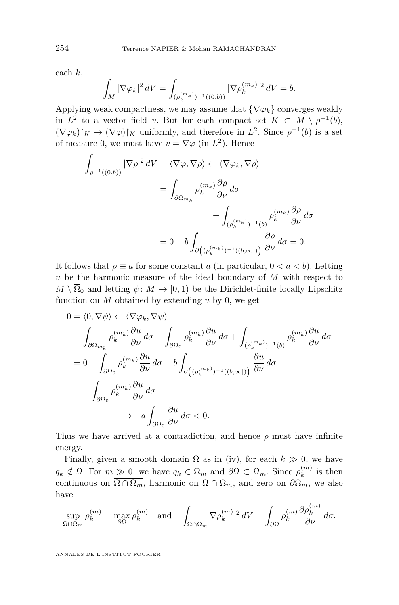each *k*,

$$
\int_M |\nabla \varphi_k|^2 \, dV = \int_{(\rho_k^{(m_k)})^{-1}((0,b))} |\nabla \rho_k^{(m_k)}|^2 \, dV = b.
$$

Applying weak compactness, we may assume that  $\{\nabla \varphi_k\}$  converges weakly in  $L^2$  to a vector field *v*. But for each compact set  $K \subset M \setminus \rho^{-1}(b)$ ,  $(\nabla \varphi_k)|_K \to (\nabla \varphi)|_K$  uniformly, and therefore in  $L^2$ . Since  $\rho^{-1}(b)$  is a set of measure 0, we must have  $v = \nabla \varphi$  (in  $L^2$ ). Hence

$$
\int_{\rho^{-1}((0,b))} |\nabla \rho|^2 dV = \langle \nabla \varphi, \nabla \rho \rangle \leftarrow \langle \nabla \varphi_k, \nabla \rho \rangle
$$
\n
$$
= \int_{\partial \Omega_{m_k}} \rho_k^{(m_k)} \frac{\partial \rho}{\partial \nu} d\sigma + \int_{(\rho_k^{(m_k)})^{-1}(b)} \rho_k^{(m_k)} \frac{\partial \rho}{\partial \nu} d\sigma
$$
\n
$$
= 0 - b \int_{\partial \left((\rho_k^{(m_k)})^{-1}((b,\infty])\right)} \frac{\partial \rho}{\partial \nu} d\sigma = 0.
$$

It follows that  $\rho \equiv a$  for some constant *a* (in particular,  $0 < a < b$ ). Letting *u* be the harmonic measure of the ideal boundary of *M* with respect to  $M \setminus \overline{\Omega}_0$  and letting  $\psi \colon M \to [0,1)$  be the Dirichlet-finite locally Lipschitz function on  $M$  obtained by extending  $u$  by 0, we get

$$
0 = \langle 0, \nabla \psi \rangle \leftarrow \langle \nabla \varphi_k, \nabla \psi \rangle
$$
  
\n
$$
= \int_{\partial \Omega_{m_k}} \rho_k^{(m_k)} \frac{\partial u}{\partial \nu} d\sigma - \int_{\partial \Omega_0} \rho_k^{(m_k)} \frac{\partial u}{\partial \nu} d\sigma + \int_{(\rho_k^{(m_k)})^{-1}(b)} \rho_k^{(m_k)} \frac{\partial u}{\partial \nu} d\sigma
$$
  
\n
$$
= 0 - \int_{\partial \Omega_0} \rho_k^{(m_k)} \frac{\partial u}{\partial \nu} d\sigma - b \int_{\partial ((\rho_k^{(m_k)})^{-1}((b,\infty]))} \frac{\partial u}{\partial \nu} d\sigma
$$
  
\n
$$
= - \int_{\partial \Omega_0} \rho_k^{(m_k)} \frac{\partial u}{\partial \nu} d\sigma
$$
  
\n
$$
\rightarrow -a \int_{\partial \Omega_0} \frac{\partial u}{\partial \nu} d\sigma < 0.
$$

Thus we have arrived at a contradiction, and hence  $\rho$  must have infinite energy.

Finally, given a smooth domain  $\Omega$  as in (iv), for each  $k \gg 0$ , we have  $q_k \notin \overline{\Omega}$ . For  $m \gg 0$ , we have  $q_k \in \Omega_m$  and  $\partial \Omega \subset \Omega_m$ . Since  $\rho_k^{(m)}$  $\binom{m}{k}$  is then continuous on  $\overline{\Omega \cap \Omega_m}$ , harmonic on  $\Omega \cap \Omega_m$ , and zero on  $\partial \Omega_m$ , we also have

$$
\sup_{\Omega \cap \Omega_m} \rho_k^{(m)} = \max_{\partial \Omega} \rho_k^{(m)} \quad \text{and} \quad \int_{\Omega \cap \Omega_m} |\nabla \rho_k^{(m)}|^2 \, dV = \int_{\partial \Omega} \rho_k^{(m)} \frac{\partial \rho_k^{(m)}}{\partial \nu} \, d\sigma.
$$

ANNALES DE L'INSTITUT FOURIER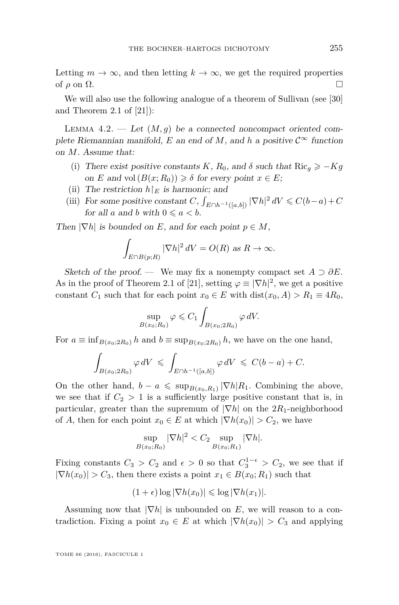Letting  $m \to \infty$ , and then letting  $k \to \infty$ , we get the required properties of  $\rho$  on  $\Omega$ .

We will also use the following analogue of a theorem of Sullivan (see [\[30\]](#page-32-3) and Theorem 2.1 of [\[21\]](#page-31-4)):

<span id="page-17-0"></span>LEMMA  $4.2.$  — Let  $(M, g)$  be a connected noncompact oriented complete Riemannian manifold, *E* an end of *M*, and *h* a positive  $C^{\infty}$  function on *M*. Assume that:

- (i) There exist positive constants *K*,  $R_0$ , and  $\delta$  such that Ric<sub>g</sub>  $\geq -Kg$ on *E* and vol  $(B(x; R_0)) \geq \delta$  for every point  $x \in E$ ;
- (ii) The restriction  $h\upharpoonright_E$  is harmonic; and
- (iii) For some positive constant *C*,  $\int_{E \cap h^{-1}([a,b])} |\nabla h|^2 dV \leq C(b-a) + C$ for all *a* and *b* with  $0 \le a \le b$ .

Then  $|\nabla h|$  is bounded on *E*, and for each point  $p \in M$ ,

$$
\int_{E \cap B(p;R)} |\nabla h|^2 dV = O(R) \text{ as } R \to \infty.
$$

Sketch of the proof. — We may fix a nonempty compact set  $A \supset \partial E$ . As in the proof of Theorem 2.1 of [\[21\]](#page-31-4), setting  $\varphi \equiv |\nabla h|^2$ , we get a positive constant *C*<sub>1</sub> such that for each point  $x_0 \in E$  with  $dist(x_0, A) > R_1 \equiv 4R_0$ ,

$$
\sup_{B(x_0;R_0)} \varphi \leqslant C_1 \int_{B(x_0;2R_0)} \varphi \,dV.
$$

For  $a \equiv \inf_{B(x_0; 2R_0)} h$  and  $b \equiv \sup_{B(x_0; 2R_0)} h$ , we have on the one hand,

$$
\int_{B(x_0; 2R_0)} \varphi \, dV \leqslant \int_{E \cap h^{-1}([a,b])} \varphi \, dV \leqslant C(b-a) + C.
$$

On the other hand,  $b - a \leq \sup_{B(x_0,R_1)} |\nabla h| R_1$ . Combining the above, we see that if  $C_2 > 1$  is a sufficiently large positive constant that is, in particular, greater than the supremum of |∇*h*| on the 2*R*1-neighborhood of *A*, then for each point  $x_0 \in E$  at which  $|\nabla h(x_0)| > C_2$ , we have

$$
\sup_{B(x_0;R_0)} |\nabla h|^2 < C_2 \sup_{B(x_0;R_1)} |\nabla h|.
$$

Fixing constants  $C_3 > C_2$  and  $\epsilon > 0$  so that  $C_3^{1-\epsilon} > C_2$ , we see that if  $|\nabla h(x_0)| > C_3$ , then there exists a point  $x_1 \in B(x_0; R_1)$  such that

$$
(1+\epsilon)\log|\nabla h(x_0)| \leq \log|\nabla h(x_1)|.
$$

Assuming now that  $|\nabla h|$  is unbounded on *E*, we will reason to a contradiction. Fixing a point  $x_0 \in E$  at which  $|\nabla h(x_0)| > C_3$  and applying

TOME 66 (2016), FASCICULE 1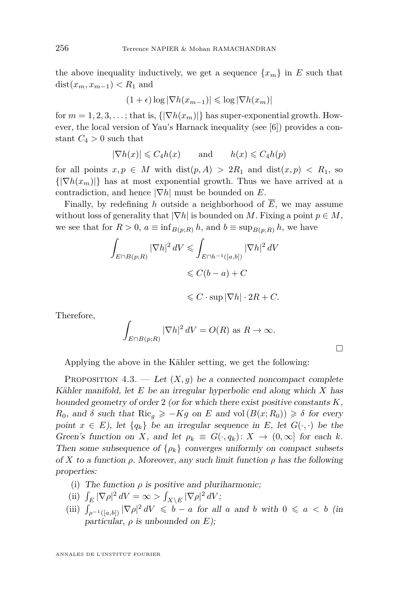the above inequality inductively, we get a sequence  $\{x_m\}$  in *E* such that dist $(x_m, x_{m-1})$  <  $R_1$  and

$$
(1+\epsilon)\log|\nabla h(x_{m-1})| \leq \log|\nabla h(x_m)|
$$

for  $m = 1, 2, 3, \ldots$ ; that is,  $\{|\nabla h(x_m)|\}$  has super-exponential growth. However, the local version of Yau's Harnack inequality (see [\[6\]](#page-30-5)) provides a constant  $C_4 > 0$  such that

$$
|\nabla h(x)| \leqslant C_4 h(x) \qquad \text{and} \qquad h(x) \leqslant C_4 h(p)
$$

for all points  $x, p \in M$  with  $dist(p, A) > 2R_1$  and  $dist(x, p) < R_1$ , so  $\{|\nabla h(x_m)|\}$  has at most exponential growth. Thus we have arrived at a contradiction, and hence |∇*h*| must be bounded on *E*.

Finally, by redefining *h* outside a neighborhood of  $\overline{E}$ , we may assume without loss of generality that  $|\nabla h|$  is bounded on *M*. Fixing a point  $p \in M$ , we see that for  $R > 0$ ,  $a \equiv \inf_{B(p;R)} h$ , and  $b \equiv \sup_{B(p;R)} h$ , we have

$$
\int_{E \cap B(p;R)} |\nabla h|^2 dV \le \int_{E \cap h^{-1}([a,b])} |\nabla h|^2 dV
$$
  

$$
\le C(b-a) + C
$$
  

$$
\le C \cdot \sup |\nabla h| \cdot 2R + C.
$$

Therefore,

$$
\int_{E \cap B(p;R)} |\nabla h|^2 dV = O(R) \text{ as } R \to \infty.
$$

Applying the above in the Kähler setting, we get the following:

<span id="page-18-0"></span>PROPOSITION 4.3. — Let  $(X, g)$  be a connected noncompact complete Kähler manifold, let *E* be an irregular hyperbolic end along which *X* has bounded geometry of order 2 (or for which there exist positive constants *K*, *R*<sub>0</sub>, and *δ* such that  $\text{Ric}_q \ge -Kg$  on *E* and vol  $(B(x; R_0)) \ge \delta$  for every point  $x \in E$ ), let  $\{q_k\}$  be an irregular sequence in *E*, let  $G(\cdot, \cdot)$  be the Green's function on *X*, and let  $\rho_k \equiv G(\cdot, q_k): X \to (0, \infty]$  for each *k*. Then some subsequence of  $\{\rho_k\}$  converges uniformly on compact subsets of *X* to a function  $\rho$ . Moreover, any such limit function  $\rho$  has the following properties:

(i) The function  $\rho$  is positive and pluriharmonic;

(ii) 
$$
\int_E |\nabla \rho|^2 dV = \infty \ge \int_{X \setminus E} |\nabla \rho|^2 dV;
$$

(ii)  $\int_{\rho^{-1}([a,b])} |\nabla \rho|^2 dV \leq b - a$  for all *a* and *b* with  $0 \leq a < b$  (in particular,  $\rho$  is unbounded on  $E$ );

ANNALES DE L'INSTITUT FOURIER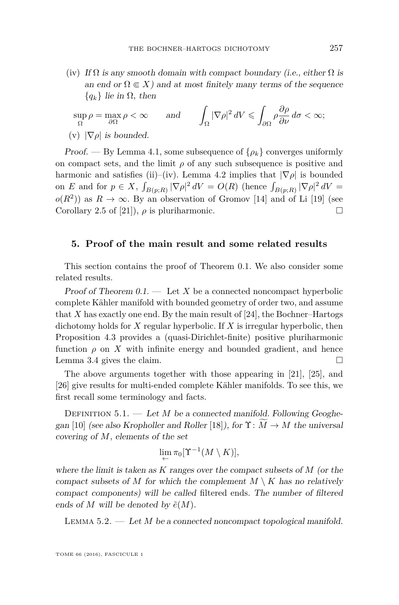(iv) If  $\Omega$  is any smooth domain with compact boundary (i.e., either  $\Omega$  is an end or  $\Omega \in X$ ) and at most finitely many terms of the sequence  ${q_k}$  lie in  $\Omega$ , then

$$
\sup_{\Omega} \rho = \max_{\partial \Omega} \rho < \infty \qquad \text{and} \qquad \int_{\Omega} |\nabla \rho|^2 \, dV \leq \int_{\partial \Omega} \rho \frac{\partial \rho}{\partial \nu} \, d\sigma < \infty;
$$
\n(v)  $|\nabla \rho|$  is bounded.

Proof. — By Lemma [4.1,](#page-13-0) some subsequence of  $\{\rho_k\}$  converges uniformly on compact sets, and the limit  $\rho$  of any such subsequence is positive and harmonic and satisfies (ii)–(iv). Lemma [4.2](#page-17-0) implies that  $|\nabla \rho|$  is bounded on *E* and for  $p \in X$ ,  $\int_{B(p;R)} |\nabla \rho|^2 dV = O(R)$  (hence  $\int_{B(p;R)} |\nabla \rho|^2 dV =$  $o(R^2)$ ) as  $R \to \infty$ . By an observation of Gromov [\[14\]](#page-31-2) and of Li [\[19\]](#page-31-1) (see Corollary 2.5 of [\[21\]](#page-31-4)),  $\rho$  is pluriharmonic.

#### <span id="page-19-1"></span>**5. Proof of the main result and some related results**

This section contains the proof of Theorem [0.1.](#page-2-0) We also consider some related results.

Proof of Theorem  $0.1.$  — Let X be a connected noncompact hyperbolic complete Kähler manifold with bounded geometry of order two, and assume that  $X$  has exactly one end. By the main result of  $[24]$ , the Bochner–Hartogs dichotomy holds for *X* regular hyperbolic. If *X* is irregular hyperbolic, then Proposition [4.3](#page-18-0) provides a (quasi-Dirichlet-finite) positive pluriharmonic function  $\rho$  on  $\overline{X}$  with infinite energy and bounded gradient, and hence Lemma [3.4](#page-12-1) gives the claim.

The above arguments together with those appearing in [\[21\]](#page-31-4), [\[25\]](#page-31-6), and [\[26\]](#page-31-7) give results for multi-ended complete Kähler manifolds. To see this, we first recall some terminology and facts.

<span id="page-19-0"></span>DEFINITION 5.1. — Let *M* be a connected manifold. Following Geoghe-gan [\[10\]](#page-31-17) (see also Kropholler and Roller [\[18\]](#page-31-18)), for  $\Upsilon: \tilde{M} \to M$  the universal covering of *M*, elements of the set

$$
\lim_{\leftarrow} \pi_0[\Upsilon^{-1}(M \setminus K)],
$$

where the limit is taken as *K* ranges over the compact subsets of *M* (or the compact subsets of *M* for which the complement  $M \setminus K$  has no relatively compact components) will be called filtered ends. The number of filtered ends of  $M$  will be denoted by  $\tilde{e}(M)$ .

<span id="page-19-2"></span>Lemma 5.2. — Let *M* be a connected noncompact topological manifold.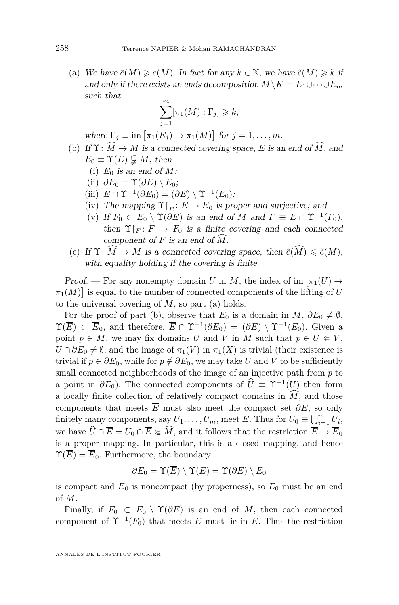(a) We have  $\tilde{e}(M) \geq e(M)$ . In fact for any  $k \in \mathbb{N}$ , we have  $\tilde{e}(M) \geq k$  if and only if there exists an ends decomposition  $M\backslash K = E_1\cup\dots\cup E_m$ such that

$$
\sum_{j=1}^{m} [\pi_1(M) : \Gamma_j] \geq k,
$$

where  $\Gamma_j \equiv \text{im} \left[ \pi_1(E_j) \to \pi_1(M) \right]$  for  $j = 1, \ldots, m$ .

- (b) If  $\Upsilon : \widehat{M} \to M$  is a connected covering space, *E* is an end of  $\widehat{M}$ , and  $E_0 \equiv \Upsilon(E) \subsetneq M$ , then
	- (i)  $E_0$  is an end of M;
	- (ii)  $\partial E_0 = \Upsilon(\partial E) \setminus E_0$ ;
	- (iii)  $\overline{E} \cap \Upsilon^{-1}(\partial E_0) = (\partial E) \setminus \Upsilon^{-1}(E_0);$
	- (iv) The mapping  $\Upsilon|_{\overline{E}}$ :  $\overline{E} \to \overline{E}_0$  is proper and surjective; and
	- (v) If  $F_0 \subset E_0 \setminus \Upsilon(\partial E)$  is an end of *M* and  $F \equiv E \cap \Upsilon^{-1}(F_0)$ , then  $\Upsilon_F : F \to F_0$  is a finite covering and each connected component of  $F$  is an end of  $\widehat{M}$ .
- (c) If  $\Upsilon: M \to M$  is a connected covering space, then  $\tilde{e}(M) \leq \tilde{e}(M)$ , with equality holding if the covering is finite.

Proof. — For any nonempty domain *U* in *M*, the index of im  $\pi_1(U) \to$  $\pi_1(M)$  is equal to the number of connected components of the lifting of *U* to the universal covering of *M*, so part (a) holds.

For the proof of part (b), observe that  $E_0$  is a domain in  $M$ ,  $\partial E_0 \neq \emptyset$ ,  $\Upsilon(\overline{E}) \subset \overline{E}_0$ , and therefore,  $\overline{E} \cap \Upsilon^{-1}(\partial E_0) = (\partial E) \setminus \Upsilon^{-1}(E_0)$ . Given a point  $p \in M$ , we may fix domains *U* and *V* in *M* such that  $p \in U \subseteq V$ ,  $U \cap \partial E_0 \neq \emptyset$ , and the image of  $\pi_1(V)$  in  $\pi_1(X)$  is trivial (their existence is trivial if  $p \in \partial E_0$ , while for  $p \notin \partial E_0$ , we may take *U* and *V* to be sufficiently small connected neighborhoods of the image of an injective path from *p* to a point in  $\partial E_0$ ). The connected components of  $\hat{U} \equiv \Upsilon^{-1}(U)$  then form a locally finite collection of relatively compact domains in  $\widehat{M}$ , and those components that meets  $\overline{E}$  must also meet the compact set  $\partial E$ , so only finitely many components, say  $U_1, \ldots, U_m$ , meet  $\overline{E}$ . Thus for  $U_0 \equiv \bigcup_{i=1}^m U_i$ , we have  $\widehat{U} \cap \overline{E} = U_0 \cap \overline{E} \subseteq \widehat{M}$ , and it follows that the restriction  $\overline{E} \to \overline{E}_0$ is a proper mapping. In particular, this is a closed mapping, and hence  $\Upsilon(\overline{E}) = \overline{E}_0$ . Furthermore, the boundary

$$
\partial E_0 = \Upsilon(\overline{E}) \setminus \Upsilon(E) = \Upsilon(\partial E) \setminus E_0
$$

is compact and  $\overline{E}_0$  is noncompact (by properness), so  $E_0$  must be an end of *M*.

Finally, if  $F_0 \subset E_0 \setminus \Upsilon(\partial E)$  is an end of M, then each connected component of  $\Upsilon^{-1}(F_0)$  that meets *E* must lie in *E*. Thus the restriction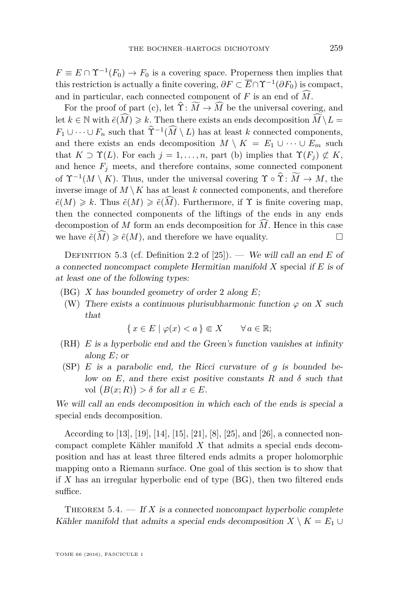$F \equiv E \cap \Upsilon^{-1}(F_0) \to F_0$  is a covering space. Properness then implies that this restriction is actually a finite covering,  $\partial F \subset \overline{E} \cap \Upsilon^{-1}(\partial F_0)$  is compact, and in particular, each connected component of  $F$  is an end of  $\widehat{M}$ .

For the proof of part (c), let  $\hat{\Upsilon}$ :  $\widetilde{M} \to \widehat{M}$  be the universal covering, and let  $k \in \mathbb{N}$  with  $\tilde{e}(\widehat{M}) \geq k$ . Then there exists an ends decomposition  $\widehat{M} \setminus L =$  $F_1 \cup \cdots \cup F_n$  such that  $\Upsilon^{-1}(\tilde{M} \setminus L)$  has at least *k* connected components, and there exists an ends decomposition  $M \setminus K = E_1 \cup \cdots \cup E_m$  such that  $K \supset \Upsilon(L)$ . For each  $j = 1, \ldots, n$ , part (b) implies that  $\Upsilon(F_j) \not\subset K$ , and hence  $F_i$  meets, and therefore contains, some connected component of  $\Upsilon^{-1}(M \setminus K)$ . Thus, under the universal covering  $\Upsilon \circ \Upsilon : M \to M$ , the inverse image of  $M \setminus K$  has at least  $k$  connected components, and therefore  $\tilde{e}(M) \geq k$ . Thus  $\tilde{e}(M) \geq \tilde{e}(M)$ . Furthermore, if  $\Upsilon$  is finite covering map, then the connected components of the liftings of the ends in any ends decompostion of *M* form an ends decomposition for  $\widehat{M}$ . Hence in this case<br>we have  $\widehat{\epsilon}(\widehat{M}) > \widehat{\epsilon}(M)$  and therefore we have equality we have  $\tilde{e}(M) \geq \tilde{e}(M)$ , and therefore we have equality.

Definition 5.3 (cf. Definition 2.2 of [\[25\]](#page-31-6)). — We will call an end *E* of a connected noncompact complete Hermitian manifold *X* special if *E* is of at least one of the following types:

- (BG) *X* has bounded geometry of order 2 along *E*;
- (W) There exists a continuous plurisubharmonic function  $\varphi$  on X such that

 $\{x \in E \mid \varphi(x) < a\} \Subset X \quad \forall a \in \mathbb{R};$ 

- (RH) *E* is a hyperbolic end and the Green's function vanishes at infinity along *E*; or
- (SP) *E* is a parabolic end, the Ricci curvature of *g* is bounded below on  $E$ , and there exist positive constants  $R$  and  $\delta$  such that vol  $(B(x; R)) > \delta$  for all  $x \in E$ .

We will call an ends decomposition in which each of the ends is special a special ends decomposition.

According to [\[13\]](#page-31-0), [\[19\]](#page-31-1), [\[14\]](#page-31-2), [\[15\]](#page-31-3), [\[21\]](#page-31-4), [\[8\]](#page-31-5), [\[25\]](#page-31-6), and [\[26\]](#page-31-7), a connected noncompact complete Kähler manifold *X* that admits a special ends decomposition and has at least three filtered ends admits a proper holomorphic mapping onto a Riemann surface. One goal of this section is to show that if *X* has an irregular hyperbolic end of type (BG), then two filtered ends suffice.

<span id="page-21-0"></span>THEOREM  $5.4.$  — If X is a connected noncompact hyperbolic complete Kähler manifold that admits a special ends decomposition  $X \setminus K = E_1 \cup$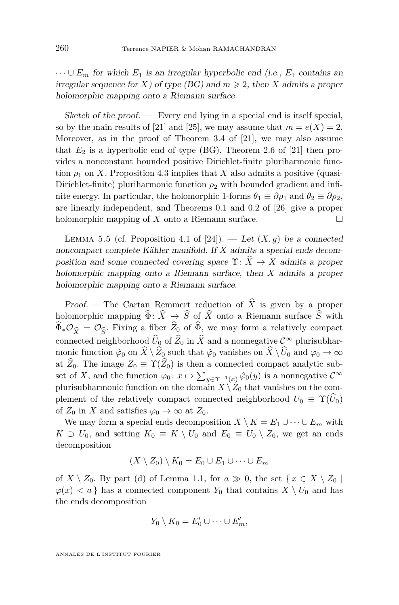$\cdots \cup E_m$  for which  $E_1$  is an irregular hyperbolic end (i.e.,  $E_1$  contains an irregular sequence for *X*) of type (BG) and  $m \ge 2$ , then *X* admits a proper holomorphic mapping onto a Riemann surface.

Sketch of the proof. — Every end lying in a special end is itself special, so by the main results of [\[21\]](#page-31-4) and [\[25\]](#page-31-6), we may assume that  $m = e(X) = 2$ . Moreover, as in the proof of Theorem 3.4 of [\[21\]](#page-31-4), we may also assume that  $E_2$  is a hyperbolic end of type (BG). Theorem 2.6 of [\[21\]](#page-31-4) then provides a nonconstant bounded positive Dirichlet-finite pluriharmonic function  $\rho_1$  on *X*. Proposition [4.3](#page-18-0) implies that *X* also admits a positive (quasi-Dirichlet-finite) pluriharmonic function  $\rho_2$  with bounded gradient and infinite energy. In particular, the holomorphic 1-forms  $\theta_1 \equiv \partial \rho_1$  and  $\theta_2 \equiv \partial \rho_2$ , are linearly independent, and Theorems 0.1 and 0.2 of [\[26\]](#page-31-7) give a proper holomorphic mapping of  $X$  onto a Riemann surface.

<span id="page-22-0"></span>LEMMA 5.5 (cf. Proposition 4.1 of [\[24\]](#page-31-13)). — Let  $(X, q)$  be a connected noncompact complete Kähler manifold. If *X* admits a special ends decomposition and some connected covering space  $\Upsilon: \widehat{X} \to X$  admits a proper holomorphic mapping onto a Riemann surface, then *X* admits a proper holomorphic mapping onto a Riemann surface.

Proof. — The Cartan–Remmert reduction of  $\hat{X}$  is given by a proper holomorphic mapping  $\widehat{\Phi}$ :  $\widehat{X} \to \widehat{S}$  of  $\widehat{X}$  onto a Riemann surface  $\widehat{S}$  with  $\Phi_* \mathcal{O}_{\widehat{X}} = \mathcal{O}_{\widehat{S}}$ . Fixing a fiber  $Z_0$  of  $\Phi$ , we may form a relatively compact<br>connected neighborhood  $\widehat{U}_0$  of  $\widehat{Z}_0$  in  $\widehat{X}$  and a nonnegative  $\mathcal{C}^{\infty}$  plurisubharconnected neighborhood  $\widehat{U}_0$  of  $\widehat{Z}_0$  in  $\widehat{X}$  and a nonnegative  $\mathcal{C}^{\infty}$  plurisubharmonic function  $\hat{\varphi}_0$  on  $\hat{X} \setminus \hat{Z}_0$  such that  $\hat{\varphi}_0$  vanishes on  $\hat{X} \setminus \hat{U}_0$  and  $\varphi_0 \to \infty$ at  $\hat{Z}_0$ . The image  $Z_0 \equiv \Upsilon(\hat{Z}_0)$  is then a connected compact analytic subset of *X*, and the function  $\varphi_0: x \mapsto \sum_{y \in \Upsilon^{-1}(x)} \hat{\varphi}_0(y)$  is a nonnegative  $C^{\infty}$ plurisubharmonic function on the domain  $X \setminus Z_0$  that vanishes on the complement of the relatively compact connected neighborhood  $U_0 \equiv \Upsilon(U_0)$ of  $Z_0$  in  $X$  and satisfies  $\varphi_0 \to \infty$  at  $Z_0$ .

We may form a special ends decomposition  $X \setminus K = E_1 \cup \cdots \cup E_m$  with *K* ⊃ *U*<sub>0</sub>, and setting  $K_0 \equiv K \setminus U_0$  and  $E_0 \equiv U_0 \setminus Z_0$ , we get an ends decomposition

$$
(X \setminus Z_0) \setminus K_0 = E_0 \cup E_1 \cup \dots \cup E_m
$$

of  $X \setminus Z_0$ . By part (d) of Lemma [1.1,](#page-4-1) for  $a \gg 0$ , the set  $\{x \in X \setminus Z_0\}$  $\varphi(x) < a$  } has a connected component  $Y_0$  that contains  $X \setminus U_0$  and has the ends decomposition

$$
Y_0 \setminus K_0 = E'_0 \cup \cdots \cup E'_m,
$$

ANNALES DE L'INSTITUT FOURIER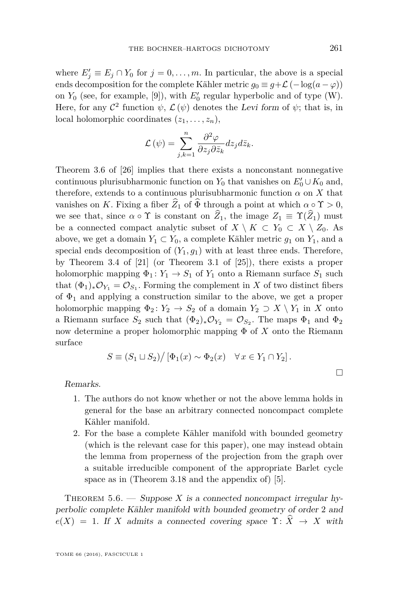where  $E'_{j} \equiv E_{j} \cap Y_{0}$  for  $j = 0, \ldots, m$ . In particular, the above is a special ends decomposition for the complete Kähler metric  $g_0 \equiv g + \mathcal{L}(-\log(a - \varphi))$ on  $Y_0$  (see, for example, [\[9\]](#page-31-19)), with  $E'_0$  regular hyperbolic and of type (W). Here, for any  $\mathcal{C}^2$  function  $\psi$ ,  $\mathcal{L}(\psi)$  denotes the Levi form of  $\psi$ ; that is, in local holomorphic coordinates  $(z_1, \ldots, z_n)$ ,

$$
\mathcal{L}(\psi) = \sum_{j,k=1}^{n} \frac{\partial^2 \varphi}{\partial z_j \partial \bar{z}_k} dz_j d\bar{z}_k.
$$

Theorem 3.6 of [\[26\]](#page-31-7) implies that there exists a nonconstant nonnegative continuous plurisubharmonic function on  $Y_0$  that vanishes on  $E'_0 \cup K_0$  and, therefore, extends to a continuous plurisubharmonic function  $\alpha$  on X that vanishes on *K*. Fixing a fiber  $\hat{Z}_1$  of  $\Phi$  through a point at which  $\alpha \circ \Upsilon > 0$ , we see that, since  $\alpha \circ \Upsilon$  is constant on  $\widehat{Z}_1$ , the image  $Z_1 \equiv \Upsilon(\widehat{Z}_1)$  must be a connected compact analytic subset of  $X \setminus K \subset Y_0 \subset X \setminus Z_0$ . As above, we get a domain  $Y_1 \subset Y_0$ , a complete Kähler metric  $g_1$  on  $Y_1$ , and a special ends decomposition of  $(Y_1, q_1)$  with at least three ends. Therefore, by Theorem 3.4 of [\[21\]](#page-31-4) (or Theorem 3.1 of [\[25\]](#page-31-6)), there exists a proper holomorphic mapping  $\Phi_1: Y_1 \to S_1$  of  $Y_1$  onto a Riemann surface  $S_1$  such that  $(\Phi_1)_*\mathcal{O}_{Y_1} = \mathcal{O}_{S_1}$ . Forming the complement in *X* of two distinct fibers of  $\Phi_1$  and applying a construction similar to the above, we get a proper holomorphic mapping  $\Phi_2: Y_2 \to S_2$  of a domain  $Y_2 \supset X \setminus Y_1$  in *X* onto a Riemann surface  $S_2$  such that  $(\Phi_2)_*\mathcal{O}_{Y_2} = \mathcal{O}_{S_2}$ . The maps  $\Phi_1$  and  $\Phi_2$ now determine a proper holomorphic mapping Φ of *X* onto the Riemann surface

$$
S \equiv (S_1 \sqcup S_2) / [\Phi_1(x) \sim \Phi_2(x) \quad \forall x \in Y_1 \cap Y_2].
$$

#### Remarks.

- 1. The authors do not know whether or not the above lemma holds in general for the base an arbitrary connected noncompact complete Kähler manifold.
- 2. For the base a complete Kähler manifold with bounded geometry (which is the relevant case for this paper), one may instead obtain the lemma from properness of the projection from the graph over a suitable irreducible component of the appropriate Barlet cycle space as in (Theorem 3.18 and the appendix of) [\[5\]](#page-30-6).

<span id="page-23-0"></span>THEOREM  $5.6.$  — Suppose X is a connected noncompact irregular hyperbolic complete Kähler manifold with bounded geometry of order 2 and  $e(X) = 1$ . If *X* admits a connected covering space  $\Upsilon: \hat{X} \to X$  with

 $\Box$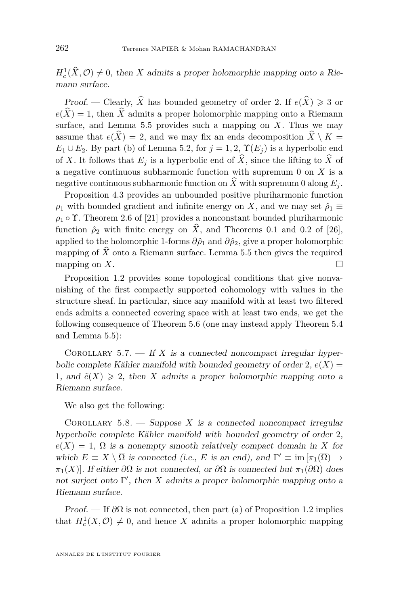$H_c^1(\hat{X}, \mathcal{O}) \neq 0$ , then *X* admits a proper holomorphic mapping onto a Riemann surface.

*Proof.* — Clearly,  $\hat{X}$  has bounded geometry of order 2. If  $e(\hat{X}) \ge 3$  or  $e(\widehat{X}) = 1$ , then  $\widehat{X}$  admits a proper holomorphic mapping onto a Riemann surface, and Lemma  $5.5$  provides such a mapping on  $X$ . Thus we may assume that  $e(\widehat{X}) = 2$ , and we may fix an ends decomposition  $\widehat{X} \setminus K =$  $E_1 \cup E_2$ . By part (b) of Lemma [5.2,](#page-19-2) for  $j = 1, 2, \Upsilon(E_i)$  is a hyperbolic end of *X*. It follows that  $E_i$  is a hyperbolic end of  $\hat{X}$ , since the lifting to  $\hat{X}$  of a negative continuous subharmonic function with supremum 0 on *X* is a negative continuous subharmonic function on  $\widehat{X}$  with supremum 0 along  $E_i$ .

Proposition [4.3](#page-18-0) provides an unbounded positive pluriharmonic function *ρ*<sub>1</sub> with bounded gradient and infinite energy on *X*, and we may set  $\hat{\rho}_1 \equiv$  $\rho_1 \circ \Upsilon$ . Theorem 2.6 of [\[21\]](#page-31-4) provides a nonconstant bounded pluriharmonic function  $\hat{\rho}_2$  with finite energy on  $\hat{X}$ , and Theorems 0.1 and 0.2 of [\[26\]](#page-31-7), applied to the holomorphic 1-forms  $\partial \hat{\rho}_1$  and  $\partial \hat{\rho}_2$ , give a proper holomorphic mapping of  $\widehat{X}$  onto a Riemann surface. Lemma [5.5](#page-22-0) then gives the required mapping on  $X$ . mapping on *X*.

Proposition [1.2](#page-7-0) provides some topological conditions that give nonvanishing of the first compactly supported cohomology with values in the structure sheaf. In particular, since any manifold with at least two filtered ends admits a connected covering space with at least two ends, we get the following consequence of Theorem [5.6](#page-23-0) (one may instead apply Theorem [5.4](#page-21-0) and Lemma [5.5\)](#page-22-0):

COROLLARY 5.7.  $\overline{\phantom{a}}$  If *X* is a connected noncompact irregular hyperbolic complete Kähler manifold with bounded geometry of order  $2, e(X) =$ 1, and  $\tilde{e}(X) \geq 2$ , then *X* admits a proper holomorphic mapping onto a Riemann surface.

We also get the following:

COROLLARY  $5.8.$  — Suppose X is a connected noncompact irregular hyperbolic complete Kähler manifold with bounded geometry of order 2,  $e(X) = 1$ ,  $\Omega$  is a nonempty smooth relatively compact domain in X for which  $E \equiv X \setminus \overline{\Omega}$  is connected (i.e., *E* is an end), and  $\Gamma' \equiv \text{im} \left[ \pi_1(\overline{\Omega}) \to \right]$ *π*<sub>1</sub>(*X*)]. If either  $\partial\Omega$  is not connected, or  $\partial\Omega$  is connected but  $\pi_1(\partial\Omega)$  does not surject onto  $\Gamma'$ , then  $X$  admits a proper holomorphic mapping onto a Riemann surface.

Proof. — If *∂*Ω is not connected, then part (a) of Proposition [1.2](#page-7-0) implies that  $H_c^1(X, \mathcal{O}) \neq 0$ , and hence *X* admits a proper holomorphic mapping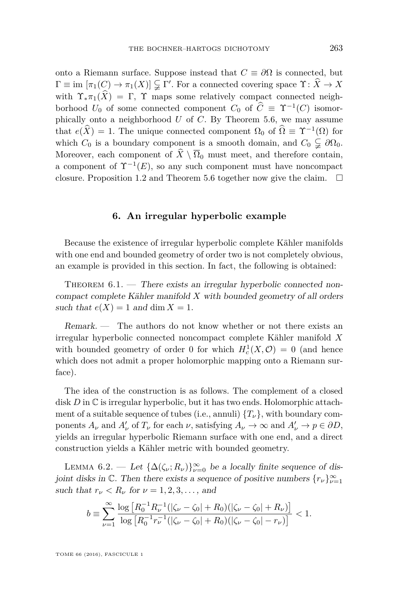onto a Riemann surface. Suppose instead that  $C \equiv \partial\Omega$  is connected, but  $\Gamma \equiv \text{im} \left[ \pi_1(C) \to \pi_1(X) \right] \subsetneq \Gamma'$ . For a connected covering space  $\Upsilon \colon \widehat{X} \to X$ with  $\Upsilon_{*}\pi_{1}(\widehat{X}) = \Gamma$ ,  $\Upsilon$  maps some relatively compact connected neighborhood  $U_0$  of some connected component  $C_0$  of  $\hat{C} \equiv \Upsilon^{-1}(C)$  isomorphically onto a neighborhood *U* of *C*. By Theorem [5.6,](#page-23-0) we may assume that  $e(\hat{X}) = 1$ . The unique connected component  $\Omega_0$  of  $\Omega \equiv \Upsilon^{-1}(\Omega)$  for which  $C_0$  is a boundary component is a smooth domain, and  $C_0 \subsetneq \partial \Omega_0$ . Moreover, each component of  $\hat{X} \setminus \overline{\Omega}_0$  must meet, and therefore contain, a component of  $\Upsilon^{-1}(E)$ , so any such component must have noncompact closure. Proposition [1.2](#page-7-0) and Theorem [5.6](#page-23-0) together now give the claim.  $\Box$ 

#### **6. An irregular hyperbolic example**

<span id="page-25-0"></span>Because the existence of irregular hyperbolic complete Kähler manifolds with one end and bounded geometry of order two is not completely obvious, an example is provided in this section. In fact, the following is obtained:

<span id="page-25-1"></span>THEOREM  $6.1.$  — There exists an irregular hyperbolic connected noncompact complete Kähler manifold *X* with bounded geometry of all orders such that  $e(X) = 1$  and dim  $X = 1$ .

Remark. — The authors do not know whether or not there exists an irregular hyperbolic connected noncompact complete Kähler manifold *X* with bounded geometry of order 0 for which  $H_c^1(X, \mathcal{O}) = 0$  (and hence which does not admit a proper holomorphic mapping onto a Riemann surface).

The idea of the construction is as follows. The complement of a closed disk *D* in C is irregular hyperbolic, but it has two ends. Holomorphic attachment of a suitable sequence of tubes (i.e., annuli)  $\{T_{\nu}\}\$ , with boundary components  $A_{\nu}$  and  $A'_{\nu}$  of  $T_{\nu}$  for each  $\nu$ , satisfying  $A_{\nu} \to \infty$  and  $A'_{\nu} \to p \in \partial D$ , yields an irregular hyperbolic Riemann surface with one end, and a direct construction yields a Kähler metric with bounded geometry.

<span id="page-25-2"></span>LEMMA 6.2. — Let  $\{\Delta(\zeta_\nu; R_\nu)\}_{\nu=0}^\infty$  be a locally finite sequence of disjoint disks in  $\mathbb{C}$ . Then there exists a sequence of positive numbers  $\{r_{\nu}\}_{\nu=1}^{\infty}$ such that  $r_{\nu} < R_{\nu}$  for  $\nu = 1, 2, 3, \dots$ , and

$$
b \equiv \sum_{\nu=1}^{\infty} \frac{\log \left[ R_0^{-1} R_{\nu}^{-1} (|\zeta_{\nu} - \zeta_0| + R_0)(|\zeta_{\nu} - \zeta_0| + R_{\nu}) \right]}{\log \left[ R_0^{-1} r_{\nu}^{-1} (|\zeta_{\nu} - \zeta_0| + R_0)(|\zeta_{\nu} - \zeta_0| - r_{\nu}) \right]} < 1.
$$

TOME 66 (2016), FASCICULE 1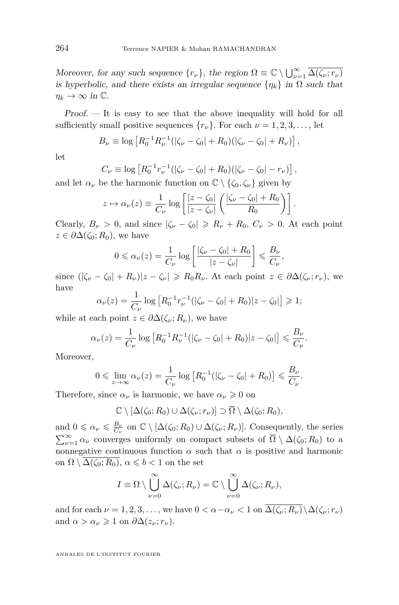Moreover, for any such sequence  $\{r_{\nu}\}\$ , the region  $\Omega \equiv \mathbb{C} \setminus \bigcup_{\nu=1}^{\infty} \overline{\Delta(\zeta_{\nu}; r_{\nu})}$ is hyperbolic, and there exists an irregular sequence  $\{\eta_k\}$  in  $\Omega$  such that  $\eta_k \to \infty$  in  $\mathbb{C}$ .

Proof. — It is easy to see that the above inequality will hold for all sufficiently small positive sequences  $\{r_{\nu}\}\$ . For each  $\nu = 1, 2, 3, \ldots$ , let

$$
B_{\nu} \equiv \log \left[ R_0^{-1} R_{\nu}^{-1} (|\zeta_{\nu} - \zeta_0| + R_0) (|\zeta_{\nu} - \zeta_0| + R_{\nu}) \right],
$$

let

$$
C_{\nu} \equiv \log \left[ R_0^{-1} r_{\nu}^{-1} (|\zeta_{\nu} - \zeta_0| + R_0) (|\zeta_{\nu} - \zeta_0| - r_{\nu}) \right],
$$

and let  $\alpha_{\nu}$  be the harmonic function on  $\mathbb{C} \setminus {\zeta_0, \zeta_{\nu}}$  given by

$$
z \mapsto \alpha_{\nu}(z) \equiv \frac{1}{C_{\nu}} \log \left[ \frac{|z - \zeta_0|}{|z - \zeta_{\nu}|} \left( \frac{|\zeta_{\nu} - \zeta_0| + R_0}{R_0} \right) \right].
$$

Clearly,  $B_\nu > 0$ , and since  $|\zeta_\nu - \zeta_0| \ge R_\nu + R_0$ ,  $C_\nu > 0$ . At each point  $z \in \partial \Delta(\zeta_0; R_0)$ , we have

$$
0 \leq \alpha_{\nu}(z) = \frac{1}{C_{\nu}} \log \left[ \frac{|\zeta_{\nu} - \zeta_0| + R_0}{|z - \zeta_{\nu}|} \right] \leq \frac{B_{\nu}}{C_{\nu}},
$$

since  $(|\zeta_{\nu} - \zeta_0| + R_{\nu}||z - \zeta_{\nu}| \ge R_0 R_{\nu}$ . At each point  $z \in \partial \Delta(\zeta_{\nu}; r_{\nu})$ , we have

$$
\alpha_{\nu}(z) = \frac{1}{C_{\nu}} \log \left[ R_0^{-1} r_{\nu}^{-1} (|\zeta_{\nu} - \zeta_0| + R_0) |z - \zeta_0| \right] \geq 1;
$$

while at each point  $z \in \partial \Delta(\zeta_\nu; R_\nu)$ , we have

$$
\alpha_{\nu}(z) = \frac{1}{C_{\nu}} \log \left[ R_0^{-1} R_{\nu}^{-1} (|\zeta_{\nu} - \zeta_0| + R_0) |z - \zeta_0| \right] \leq \frac{B_{\nu}}{C_{\nu}}.
$$

Moreover,

$$
0 \leqslant \lim_{z \to \infty} \alpha_{\nu}(z) = \frac{1}{C_{\nu}} \log \left[ R_0^{-1} (|\zeta_{\nu} - \zeta_0| + R_0) \right] \leqslant \frac{B_{\nu}}{C_{\nu}}.
$$

Therefore, since  $\alpha_{\nu}$  is harmonic, we have  $\alpha_{\nu} \geq 0$  on

$$
\mathbb{C}\setminus[\Delta(\zeta_0;R_0)\cup\Delta(\zeta_{\nu};r_{\nu})]\supset \overline{\Omega}\setminus\Delta(\zeta_0;R_0),
$$

and  $0 \le \alpha_{\nu} \le \frac{B_{\nu}}{C_{\nu}}$  on  $\mathbb{C} \setminus [\Delta(\zeta_0; R_0) \cup \Delta(\zeta_{\nu}; R_{\nu})]$ . Consequently, the series  $\sum_{\nu=1}^{\infty} \alpha_{\nu}$  converges uniformly on compact subsets of  $\overline{\Omega} \setminus \Delta(\zeta_0; R_0)$  to a nonnegative continuous function  $\alpha$  such that  $\alpha$  is positive and harmonic on  $\Omega \setminus \Delta(\zeta_0; R_0), \alpha \leqslant b < 1$  on the set

$$
I \equiv \Omega \setminus \bigcup_{\nu=0}^{\infty} \Delta(\zeta_{\nu}; R_{\nu}) = \mathbb{C} \setminus \bigcup_{\nu=0}^{\infty} \Delta(\zeta_{\nu}; R_{\nu}),
$$

and for each  $\nu = 1, 2, 3, \ldots$ , we have  $0 < \alpha - \alpha_{\nu} < 1$  on  $\overline{\Delta(\zeta_{\nu}; R_{\nu})} \setminus \Delta(\zeta_{\nu}; r_{\nu})$ and  $\alpha > \alpha_{\nu} \geq 1$  on  $\partial \Delta(z_{\nu}; r_{\nu})$ .

ANNALES DE L'INSTITUT FOURIER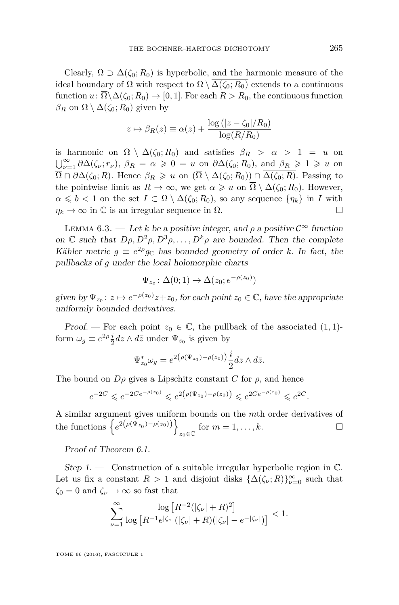Clearly,  $\Omega \supset \overline{\Delta(\zeta_0; R_0)}$  is hyperbolic, and the harmonic measure of the ideal boundary of  $\Omega$  with respect to  $\Omega \setminus \overline{\Delta(\zeta_0; R_0)}$  extends to a continuous function  $u: \overline{\Omega} \backslash \Delta(\zeta_0; R_0) \to [0, 1]$ . For each  $R > R_0$ , the continuous function  $β<sub>R</sub>$  on  $\overline{Ω} \setminus Δ(ζ<sub>0</sub>; R<sub>0</sub>)$  given by

$$
z \mapsto \beta_R(z) \equiv \alpha(z) + \frac{\log(|z - \zeta_0|/R_0)}{\log(R/R_0)}
$$

is harmonic on  $\Omega \setminus \overline{\Delta(\zeta_0; R_0)}$  and satisfies  $\beta_R > \alpha > 1 = u$  on  $\bigcup_{\nu=1}^{\infty} \partial \Delta(\zeta_{\nu}; r_{\nu}), \ \beta_{R} = \alpha \geq 0 = u \text{ on } \partial \Delta(\zeta_{0}; R_{0}), \text{ and } \beta_{R} \geq 1 \geq u \text{ on } \zeta$  $\overline{\Omega} \cap \partial \Delta(\zeta_0; R)$ . Hence  $\beta_R \geq u$  on  $(\overline{\Omega} \setminus \Delta(\zeta_0; R_0)) \cap \Delta(\zeta_0; R)$ . Passing to the pointwise limit as  $R \to \infty$ , we get  $\alpha \geq u$  on  $\overline{\Omega} \setminus \Delta(\zeta_0; R_0)$ . However,  $\alpha \leq b < 1$  on the set  $I \subset \Omega \setminus \Delta(\zeta_0; R_0)$ , so any sequence  $\{\eta_k\}$  in *I* with  $\eta_k \to \infty$  in  $\mathbb C$  is an irregular sequence in  $\Omega$ .

<span id="page-27-0"></span>LEMMA 6.3. — Let *k* be a positive integer, and  $\rho$  a positive  $\mathcal{C}^{\infty}$  function on C such that  $D\rho, D^2\rho, D^3\rho, \ldots, D^k\rho$  are bounded. Then the complete Kähler metric  $g \equiv e^{2\rho} g_c$  has bounded geometry of order *k*. In fact, the pullbacks of *g* under the local holomorphic charts

$$
\Psi_{z_0} \colon \Delta(0; 1) \to \Delta(z_0; e^{-\rho(z_0)})
$$

given by  $\Psi_{z_0}: z \mapsto e^{-\rho(z_0)}z + z_0$ , for each point  $z_0 \in \mathbb{C}$ , have the appropriate uniformly bounded derivatives.

Proof. — For each point  $z_0 \in \mathbb{C}$ , the pullback of the associated  $(1, 1)$ form  $\omega_g \equiv e^{2\rho} \frac{i}{2} dz \wedge d\bar{z}$  under  $\Psi_{z_0}$  is given by

$$
\Psi_{z_0}^* \omega_g = e^{2(\rho(\Psi_{z_0}) - \rho(z_0))} \frac{i}{2} dz \wedge d\bar{z}.
$$

The bound on  $D\rho$  gives a Lipschitz constant *C* for  $\rho$ , and hence

$$
e^{-2C} \leqslant e^{-2Ce^{-\rho(z_0)}} \leqslant e^{2(\rho(\Psi_{z_0})-\rho(z_0))} \leqslant e^{2Ce^{-\rho(z_0)}} \leqslant e^{2C}.
$$

A similar argument gives uniform bounds on the *m*th order derivatives of the functions  $\{e^{2(\rho(\Psi_{z_0})-\rho(z_0))}\}$  $z_0 \in \mathbb{C}$  for  $m = 1, \ldots, k$ .

Proof of Theorem [6.1.](#page-25-1)

Step 1.  $\longrightarrow$  Construction of a suitable irregular hyperbolic region in  $\mathbb{C}$ . Let us fix a constant  $R > 1$  and disjoint disks  $\{\Delta(\zeta_\nu; R)\}_{\nu=0}^\infty$  such that  $\zeta_0 = 0$  and  $\zeta_\nu \to \infty$  so fast that

$$
\sum_{\nu=1}^{\infty}\frac{\log\left[R^{-2}(|\zeta_{\nu}|+R)^2\right]}{\log\left[R^{-1}e^{|\zeta_{\nu}|}(|\zeta_{\nu}|+R)(|\zeta_{\nu}|-e^{-|\zeta_{\nu}|})\right]}<1.
$$

TOME 66 (2016), FASCICULE 1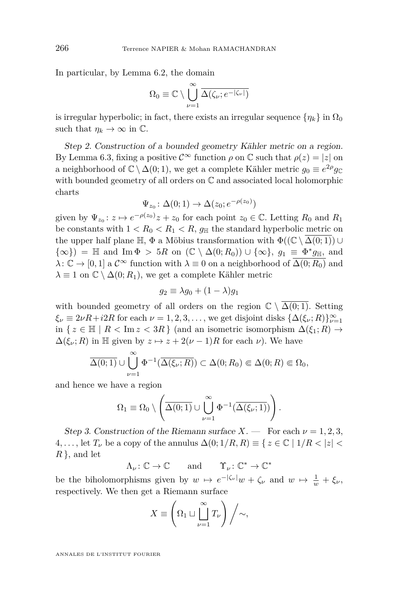In particular, by Lemma [6.2,](#page-25-2) the domain

$$
\Omega_0\equiv\mathbb{C}\setminus\bigcup_{\nu=1}^\infty\overline{\Delta(\zeta_\nu;e^{-|\zeta_\nu|})}
$$

is irregular hyperbolic; in fact, there exists an irregular sequence  $\{\eta_k\}$  in  $\Omega_0$ such that  $\eta_k \to \infty$  in  $\mathbb{C}$ .

Step 2. Construction of a bounded geometry Kähler metric on a region. By Lemma [6.3,](#page-27-0) fixing a positive  $\mathcal{C}^{\infty}$  function  $\rho$  on  $\mathbb{C}$  such that  $\rho(z) = |z|$  on a neighborhood of  $\mathbb{C} \setminus \Delta(0, 1)$ , we get a complete Kähler metric  $g_0 \equiv e^{2\rho} g_{\mathbb{C}}$ with bounded geometry of all orders on C and associated local holomorphic charts

$$
\Psi_{z_0} \colon \Delta(0; 1) \to \Delta(z_0; e^{-\rho(z_0)})
$$

given by  $\Psi_{z_0}: z \mapsto e^{-\rho(z_0)}z + z_0$  for each point  $z_0 \in \mathbb{C}$ . Letting  $R_0$  and  $R_1$ be constants with  $1 < R_0 < R_1 < R$ ,  $g_{\parallel}$  the standard hyperbolic metric on the upper half plane  $\mathbb{H}$ ,  $\Phi$  a Möbius transformation with  $\Phi((\mathbb{C} \setminus \Delta(0, 1)) \cup$  $\{\infty\}\}\ = \ \mathbb{H}$  and  $\text{Im}\ \Phi \ > 5R$  on  $(\mathbb{C} \setminus \Delta(0; R_0)) \cup \{\infty\},\ g_1 \equiv \Phi^* g_{\mathbb{H}},\ \text{and}$  $\lambda: \mathbb{C} \to [0,1]$  a  $\mathcal{C}^{\infty}$  function with  $\lambda \equiv 0$  on a neighborhood of  $\overline{\Delta(0;R_0)}$  and  $\lambda \equiv 1$  on  $\mathbb{C} \setminus \Delta(0; R_1)$ , we get a complete Kähler metric

$$
g_2 \equiv \lambda g_0 + (1 - \lambda)g_1
$$

with bounded geometry of all orders on the region  $\mathbb{C} \setminus \Delta(0, 1)$ . Setting  $\xi_{\nu} \equiv 2\nu R + i2R$  for each  $\nu = 1, 2, 3, \dots$ , we get disjoint disks  $\{\Delta(\xi_{\nu}; R)\}_{\nu=1}^{\infty}$ in  $\{ z \in \mathbb{H} \mid R < \text{Im } z < 3R \}$  (and an isometric isomorphism  $\Delta(\xi_1; R)$  →  $\Delta(\xi_{\nu}; R)$  in H given by  $z \mapsto z + 2(\nu - 1)R$  for each  $\nu$ ). We have

$$
\overline{\Delta(0;1)} \cup \bigcup_{\nu=1}^{\infty} \Phi^{-1}(\overline{\Delta(\xi_{\nu};R)}) \subset \Delta(0;R_0) \Subset \Delta(0;R) \Subset \Omega_0,
$$

and hence we have a region

$$
\Omega_1 \equiv \Omega_0 \setminus \left( \overline{\Delta(0;1)} \cup \bigcup_{\nu=1}^{\infty} \Phi^{-1}(\overline{\Delta(\xi_{\nu};1)}) \right).
$$

Step 3. Construction of the Riemann surface  $X$ . — For each  $\nu = 1, 2, 3$ , 4,..., let  $T_\nu$  be a copy of the annulus  $\Delta(0; 1/R, R) \equiv \{ z \in \mathbb{C} \mid 1/R < |z| < \infty \}$ *R* }, and let

 $\Lambda_{\nu} \colon \mathbb{C} \to \mathbb{C}$  and  $\Upsilon_{\nu} \colon \mathbb{C}^* \to \mathbb{C}^*$ 

be the biholomorphisms given by  $w \mapsto e^{-|\zeta_v|}w + \zeta_v$  and  $w \mapsto \frac{1}{w} + \zeta_v$ , respectively. We then get a Riemann surface

$$
X \equiv \left(\Omega_1 \sqcup \bigcup_{\nu=1}^{\infty} T_{\nu}\right) / \sim,
$$

ANNALES DE L'INSTITUT FOURIER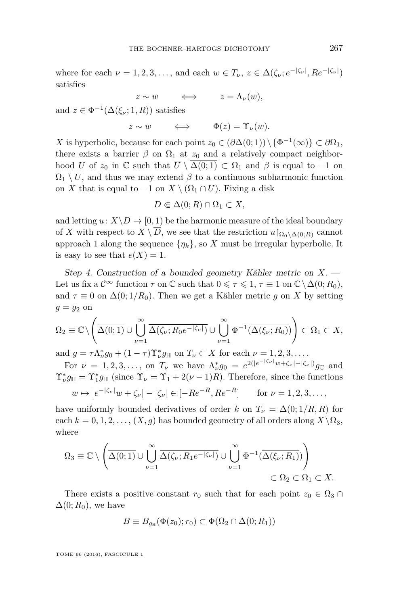where for each  $\nu = 1, 2, 3, \ldots$ , and each  $w \in T_{\nu}, z \in \Delta(\zeta_{\nu}; e^{-|\zeta_{\nu}|}, Re^{-|\zeta_{\nu}|})$ satisfies

$$
z \sim w \qquad \Longleftrightarrow \qquad z = \Lambda_{\nu}(w),
$$

and  $z \in \Phi^{-1}(\Delta(\xi_\nu; 1, R))$  satisfies

 $z \sim w$   $\iff$   $\Phi(z) = \Upsilon_{\nu}(w)$ .

*X* is hyperbolic, because for each point  $z_0 \in (\partial \Delta(0, 1)) \setminus {\Phi^{-1}(\infty)} \subset \partial \Omega_1$ , there exists a barrier  $\beta$  on  $\Omega_1$  at  $z_0$  and a relatively compact neighborhood *U* of  $z_0$  in C such that  $\overline{U} \setminus \overline{\Delta(0;1)} \subset \Omega_1$  and  $\beta$  is equal to  $-1$  on  $\Omega_1 \setminus U$ , and thus we may extend  $\beta$  to a continuous subharmonic function on *X* that is equal to −1 on *X* \  $(\Omega_1 \cap U)$ . Fixing a disk

$$
D \Subset \Delta(0; R) \cap \Omega_1 \subset X,
$$

and letting  $u: X \backslash D \to [0,1)$  be the harmonic measure of the ideal boundary of *X* with respect to  $X \setminus \overline{D}$ , we see that the restriction  $u|_{\Omega_0 \setminus \Delta(0;R)}$  cannot approach 1 along the sequence  $\{\eta_k\}$ , so *X* must be irregular hyperbolic. It is easy to see that  $e(X) = 1$ .

Step 4. Construction of a bounded geometry Kähler metric on *X*. — Let us fix a  $\mathcal{C}^{\infty}$  function  $\tau$  on  $\mathbb{C}$  such that  $0 \leq \tau \leq 1$ ,  $\tau \equiv 1$  on  $\mathbb{C}\setminus\Delta(0; R_0)$ , and  $\tau \equiv 0$  on  $\Delta(0; 1/R_0)$ . Then we get a Kähler metric *g* on *X* by setting  $q = q_2$  on

$$
\Omega_2 \equiv \mathbb{C} \setminus \left( \overline{\Delta(0;1)} \cup \bigcup_{\nu=1}^{\infty} \overline{\Delta(\zeta_{\nu}; R_0 e^{-|\zeta_{\nu}|})} \cup \bigcup_{\nu=1}^{\infty} \Phi^{-1}(\overline{\Delta(\xi_{\nu}; R_0)}) \right) \subset \Omega_1 \subset X,
$$

and  $g = \tau \Lambda_{\nu}^{*} g_0 + (1 - \tau) \Upsilon_{\nu}^{*} g_{\mathbb{H}}$  on  $T_{\nu} \subset X$  for each  $\nu = 1, 2, 3, \dots$ .

For  $\nu = 1, 2, 3, \ldots$ , on  $T_{\nu}$  we have  $\Lambda_{\nu}^{*} g_0 = e^{2(|e^{-|\zeta_{\nu}|}w + \zeta_{\nu}| - |\zeta_{\nu}|)} g_{\mathbb{C}}$  and  $\Upsilon^*_{\nu} g_{\mathbb{H}} = \Upsilon^*_{1} g_{\mathbb{H}}$  (since  $\Upsilon_{\nu} = \Upsilon_1 + 2(\nu - 1)R$ ). Therefore, since the functions  $w \mapsto |e^{-|\zeta_{\nu}|}w + \zeta_{\nu}| - |\zeta_{\nu}| \in [-Re^{-R}, Re^{-R}]$  for  $\nu = 1, 2, 3, \dots$ ,

have uniformly bounded derivatives of order *k* on  $T_\nu = \Delta(0; 1/R, R)$  for each  $k = 0, 1, 2, \ldots, (X, g)$  has bounded geometry of all orders along  $X \backslash \Omega_3$ , where

$$
\Omega_3 \equiv \mathbb{C} \setminus \left( \overline{\Delta(0;1)} \cup \bigcup_{\nu=1}^{\infty} \overline{\Delta(\zeta_{\nu}; R_1 e^{-|\zeta_{\nu}|})} \cup \bigcup_{\nu=1}^{\infty} \Phi^{-1}(\overline{\Delta(\xi_{\nu}; R_1)}) \right) \subset \Omega_2 \subset \Omega_1 \subset X.
$$

There exists a positive constant  $r_0$  such that for each point  $z_0 \in \Omega_3 \cap$  $\Delta(0; R_0)$ , we have

$$
B \equiv B_{g_{\mathbb{H}}}(\Phi(z_0); r_0) \subset \Phi(\Omega_2 \cap \Delta(0; R_1))
$$

TOME 66 (2016), FASCICULE 1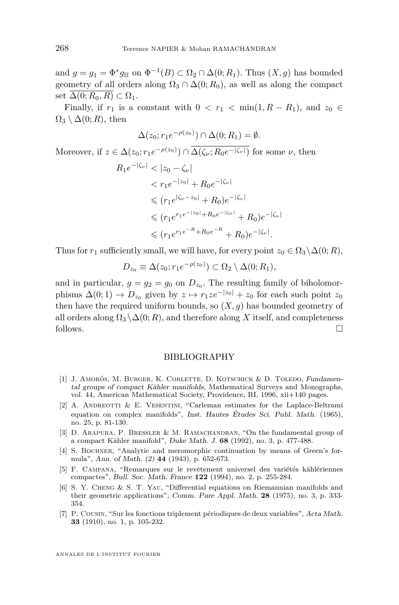and  $g = g_1 = \Phi^* g_{\mathbb{H}}$  on  $\Phi^{-1}(B) \subset \Omega_2 \cap \Delta(0; R_1)$ . Thus  $(X, g)$  has bounded geometry of all orders along  $\Omega_3 \cap \Delta(0; R_0)$ , as well as along the compact set  $\overline{\Delta(0; R_0, R)} \subset \Omega_1$ .

Finally, if  $r_1$  is a constant with  $0 < r_1 < \min(1, R - R_1)$ , and  $z_0 \in$  $\Omega_3 \setminus \Delta(0;R)$ , then

$$
\Delta(z_0; r_1 e^{-\rho(z_0)}) \cap \Delta(0; R_1) = \emptyset.
$$

Moreover, if  $z \in \Delta(z_0; r_1 e^{-\rho(z_0)}) \cap \Delta(\zeta_\nu; R_0 e^{-|\zeta_\nu|})$  for some  $\nu$ , then

$$
R_1 e^{-|\zeta_{\nu}|} < |z_0 - \zeta_{\nu}|
$$
\n
$$
< r_1 e^{-|z_0|} + R_0 e^{-|\zeta_{\nu}|}
$$
\n
$$
\leq (r_1 e^{|\zeta_{\nu} - z_0|} + R_0) e^{-|\zeta_{\nu}|}
$$
\n
$$
\leq (r_1 e^{r_1 e^{-|z_0|} + R_0 e^{-|\zeta_{\nu}|}} + R_0) e^{-|\zeta_{\nu}|}
$$
\n
$$
\leq (r_1 e^{r_1 e^{-R} + R_0 e^{-R}} + R_0) e^{-|\zeta_{\nu}|}.
$$

Thus for  $r_1$  sufficiently small, we will have, for every point  $z_0 \in \Omega_3 \backslash \Delta(0; R)$ ,

$$
D_{z_0} \equiv \Delta(z_0; r_1 e^{-\rho(z_0)}) \subset \Omega_2 \setminus \Delta(0; R_1),
$$

and in particular,  $g = g_2 = g_0$  on  $D_{z_0}$ . The resulting family of biholomorphisms  $\Delta(0; 1) \rightarrow D_{z_0}$  given by  $z \mapsto r_1 z e^{-|z_0|} + z_0$  for each such point  $z_0$ then have the required uniform bounds, so  $(X, g)$  has bounded geometry of all orders along  $\Omega_3 \setminus \Delta(0; R)$ , and therefore along X itself, and completeness follows.  $\Box$ 

#### BIBLIOGRAPHY

- <span id="page-30-4"></span>[1] J. AMORÓS, M. BURGER, K. CORLETTE, D. KOTSCHICK & D. TOLEDO, Fundamental groups of compact Kähler manifolds, Mathematical Surveys and Monographs, vol. 44, American Mathematical Society, Providence, RI, 1996, xii+140 pages.
- <span id="page-30-2"></span>[2] A. ANDREOTTI & E. VESENTINI, "Carleman estimates for the Laplace-Beltrami equation on complex manifolds", Inst. Hautes Études Sci. Publ. Math. (1965), no. 25, p. 81-130.
- <span id="page-30-3"></span>[3] D. ARAPURA, P. BRESSLER & M. RAMACHANDRAN, "On the fundamental group of a compact Kähler manifold", Duke Math. J. **68** (1992), no. 3, p. 477-488.
- <span id="page-30-1"></span>[4] S. Bochner, "Analytic and meromorphic continuation by means of Green's formula", Ann. of Math. (2) **44** (1943), p. 652-673.
- <span id="page-30-6"></span>[5] F. Campana, "Remarques sur le revêtement universel des variétés kählériennes compactes", Bull. Soc. Math. France **122** (1994), no. 2, p. 255-284.
- <span id="page-30-5"></span>[6] S. Y. Cheng & S. T. Yau, "Differential equations on Riemannian manifolds and their geometric applications", Comm. Pure Appl. Math. **28** (1975), no. 3, p. 333- 354.
- <span id="page-30-0"></span>[7] P. Cousin, "Sur les fonctions triplement périodiques de deux variables", Acta Math. **33** (1910), no. 1, p. 105-232.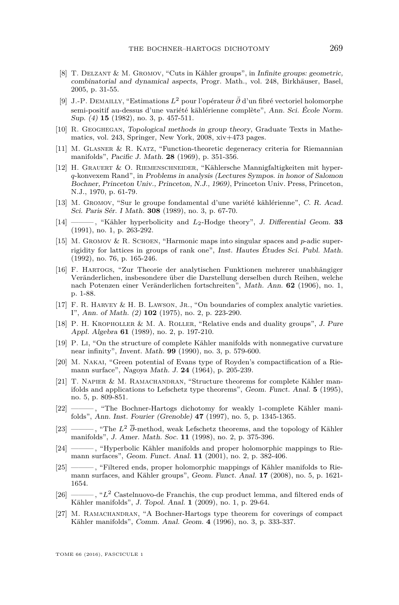- <span id="page-31-5"></span>[8] T. Delzant & M. Gromov, "Cuts in Kähler groups", in Infinite groups: geometric, combinatorial and dynamical aspects, Progr. Math., vol. 248, Birkhäuser, Basel, 2005, p. 31-55.
- <span id="page-31-19"></span>[9] J.-P. Demailly, "Estimations *L*<sup>2</sup> pour l'opérateur *∂*¯ d'un fibré vectoriel holomorphe semi-positif au-dessus d'une variété kählérienne complète", Ann. Sci. École Norm. Sup. (4) **15** (1982), no. 3, p. 457-511.
- <span id="page-31-17"></span>[10] R. Geoghegan, Topological methods in group theory, Graduate Texts in Mathematics, vol. 243, Springer, New York, 2008, xiv+473 pages.
- <span id="page-31-14"></span>[11] M. Glasner & R. Katz, "Function-theoretic degeneracy criteria for Riemannian manifolds", Pacific J. Math. **28** (1969), p. 351-356.
- <span id="page-31-10"></span>[12] H. Grauert & O. Riemenschneider, "Kählersche Mannigfaltigkeiten mit hyper*q*-konvexem Rand", in Problems in analysis (Lectures Sympos. in honor of Salomon Bochner, Princeton Univ., Princeton, N.J., 1969), Princeton Univ. Press, Princeton, N.J., 1970, p. 61-79.
- <span id="page-31-0"></span>[13] M. Gromov, "Sur le groupe fondamental d'une variété kählérienne", C. R. Acad. Sci. Paris Sér. I Math. **308** (1989), no. 3, p. 67-70.
- <span id="page-31-2"></span>[14] ——— , "Kähler hyperbolicity and *L*2-Hodge theory", J. Differential Geom. **33** (1991), no. 1, p. 263-292.
- <span id="page-31-3"></span>[15] M. Gromov & R. Schoen, "Harmonic maps into singular spaces and *p*-adic superrigidity for lattices in groups of rank one", Inst. Hautes Études Sci. Publ. Math. (1992), no. 76, p. 165-246.
- <span id="page-31-8"></span>[16] F. Hartogs, "Zur Theorie der analytischen Funktionen mehrerer unabhängiger Veränderlichen, insbesondere über die Darstellung derselben durch Reihen, welche nach Potenzen einer Veränderlichen fortschreiten", Math. Ann. **62** (1906), no. 1, p. 1-88.
- <span id="page-31-9"></span>[17] F. R. Harvey & H. B. Lawson, Jr., "On boundaries of complex analytic varieties. I", Ann. of Math. (2) **102** (1975), no. 2, p. 223-290.
- <span id="page-31-18"></span>[18] P. H. Kropholler & M. A. Roller, "Relative ends and duality groups", J. Pure Appl. Algebra **61** (1989), no. 2, p. 197-210.
- <span id="page-31-1"></span>[19] P. Li, "On the structure of complete Kähler manifolds with nonnegative curvature near infinity", Invent. Math. **99** (1990), no. 3, p. 579-600.
- <span id="page-31-16"></span>[20] M. Nakai, "Green potential of Evans type of Royden's compactification of a Riemann surface", Nagoya Math. J. **24** (1964), p. 205-239.
- <span id="page-31-4"></span>[21] T. Napier & M. Ramachandran, "Structure theorems for complete Kähler manifolds and applications to Lefschetz type theorems", Geom. Funct. Anal. **5** (1995), no. 5, p. 809-851.
- <span id="page-31-12"></span>[22] ——— , "The Bochner-Hartogs dichotomy for weakly 1-complete Kähler manifolds", Ann. Inst. Fourier (Grenoble) **47** (1997), no. 5, p. 1345-1365.
- <span id="page-31-15"></span>[23] ——— , "The *L*<sup>2</sup> *∂*-method, weak Lefschetz theorems, and the topology of Kähler manifolds", J. Amer. Math. Soc. **11** (1998), no. 2, p. 375-396.
- <span id="page-31-13"></span>[24] ——— , "Hyperbolic Kähler manifolds and proper holomorphic mappings to Riemann surfaces", Geom. Funct. Anal. **11** (2001), no. 2, p. 382-406.
- <span id="page-31-6"></span>[25] ——— , "Filtered ends, proper holomorphic mappings of Kähler manifolds to Riemann surfaces, and Kähler groups", Geom. Funct. Anal. **17** (2008), no. 5, p. 1621- 1654.
- <span id="page-31-7"></span>[26] ———, "L<sup>2</sup> Castelnuovo-de Franchis, the cup product lemma, and filtered ends of Kähler manifolds", J. Topol. Anal. **1** (2009), no. 1, p. 29-64.
- <span id="page-31-11"></span>[27] M. RAMACHANDRAN, "A Bochner-Hartogs type theorem for coverings of compact Kähler manifolds", Comm. Anal. Geom. **4** (1996), no. 3, p. 333-337.